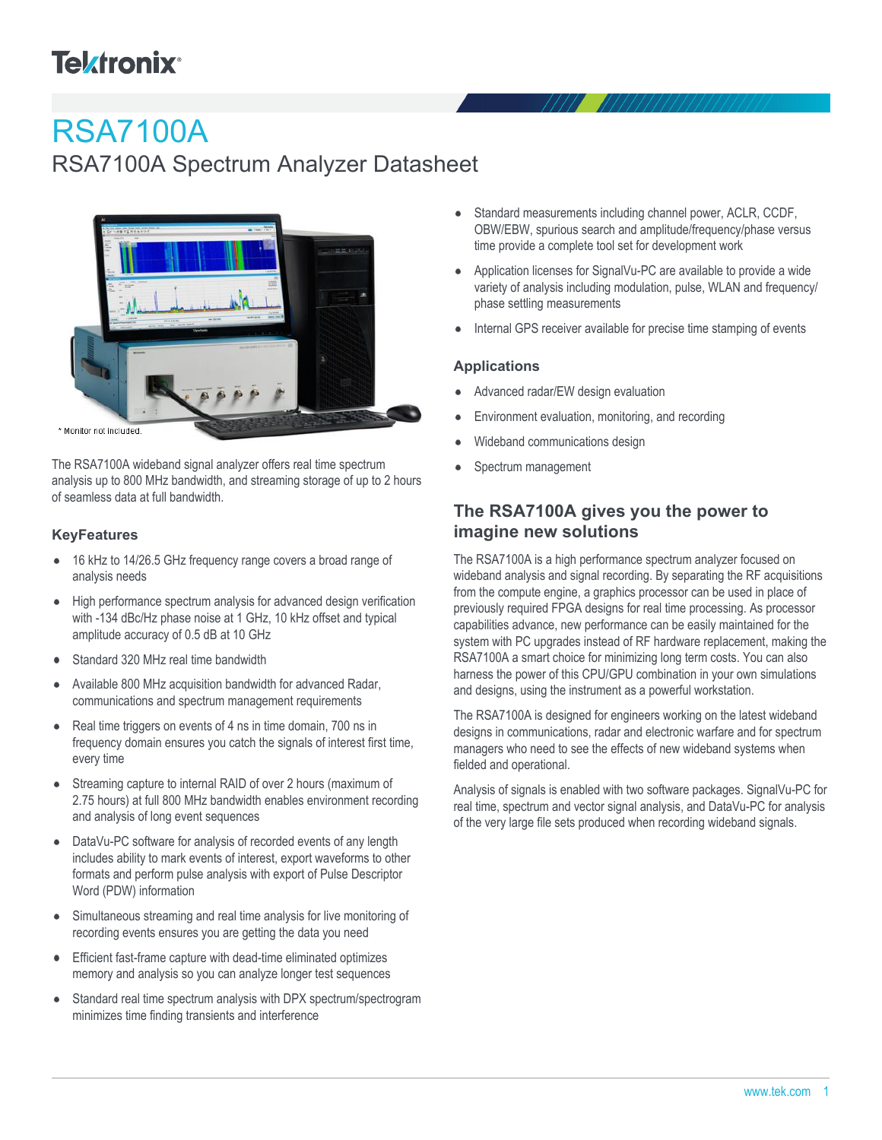# **Tektronix**<sup>®</sup>

# RSA7100A

## RSA7100A Spectrum Analyzer Datasheet



\* Monitor not included.

The RSA7100A wideband signal analyzer offers real time spectrum analysis up to 800 MHz bandwidth, and streaming storage of up to 2 hours of seamless data at full bandwidth.

### **KeyFeatures**

- 16 kHz to 14/26.5 GHz frequency range covers a broad range of analysis needs
- High performance spectrum analysis for advanced design verification  $\bullet$ with -134 dBc/Hz phase noise at 1 GHz, 10 kHz offset and typical amplitude accuracy of 0.5 dB at 10 GHz
- Standard 320 MHz real time bandwidth  $\bullet$
- Available 800 MHz acquisition bandwidth for advanced Radar, communications and spectrum management requirements
- $\bullet$ Real time triggers on events of 4 ns in time domain, 700 ns in frequency domain ensures you catch the signals of interest first time, every time
- Streaming capture to internal RAID of over 2 hours (maximum of  $\bullet$ 2.75 hours) at full 800 MHz bandwidth enables environment recording and analysis of long event sequences
- DataVu-PC software for analysis of recorded events of any length  $\bullet$ includes ability to mark events of interest, export waveforms to other formats and perform pulse analysis with export of Pulse Descriptor Word (PDW) information
- Simultaneous streaming and real time analysis for live monitoring of recording events ensures you are getting the data you need
- Efficient fast-frame capture with dead-time eliminated optimizes  $\bullet$ memory and analysis so you can analyze longer test sequences
- Standard real time spectrum analysis with DPX spectrum/spectrogram minimizes time finding transients and interference
- Standard measurements including channel power, ACLR, CCDF, OBW/EBW, spurious search and amplitude/frequency/phase versus time provide a complete tool set for development work
- Application licenses for SignalVu-PC are available to provide a wide  $\bullet$ variety of analysis including modulation, pulse, WLAN and frequency/ phase settling measurements
- Internal GPS receiver available for precise time stamping of events

#### **Applications**

- Advanced radar/EW design evaluation
- Environment evaluation, monitoring, and recording
- Wideband communications design
- Spectrum management

## **The RSA7100A gives you the power to imagine new solutions**

The RSA7100A is a high performance spectrum analyzer focused on wideband analysis and signal recording. By separating the RF acquisitions from the compute engine, a graphics processor can be used in place of previously required FPGA designs for real time processing. As processor capabilities advance, new performance can be easily maintained for the system with PC upgrades instead of RF hardware replacement, making the RSA7100A a smart choice for minimizing long term costs. You can also harness the power of this CPU/GPU combination in your own simulations and designs, using the instrument as a powerful workstation.

The RSA7100A is designed for engineers working on the latest wideband designs in communications, radar and electronic warfare and for spectrum managers who need to see the effects of new wideband systems when fielded and operational.

Analysis of signals is enabled with two software packages. SignalVu-PC for real time, spectrum and vector signal analysis, and DataVu-PC for analysis of the very large file sets produced when recording wideband signals.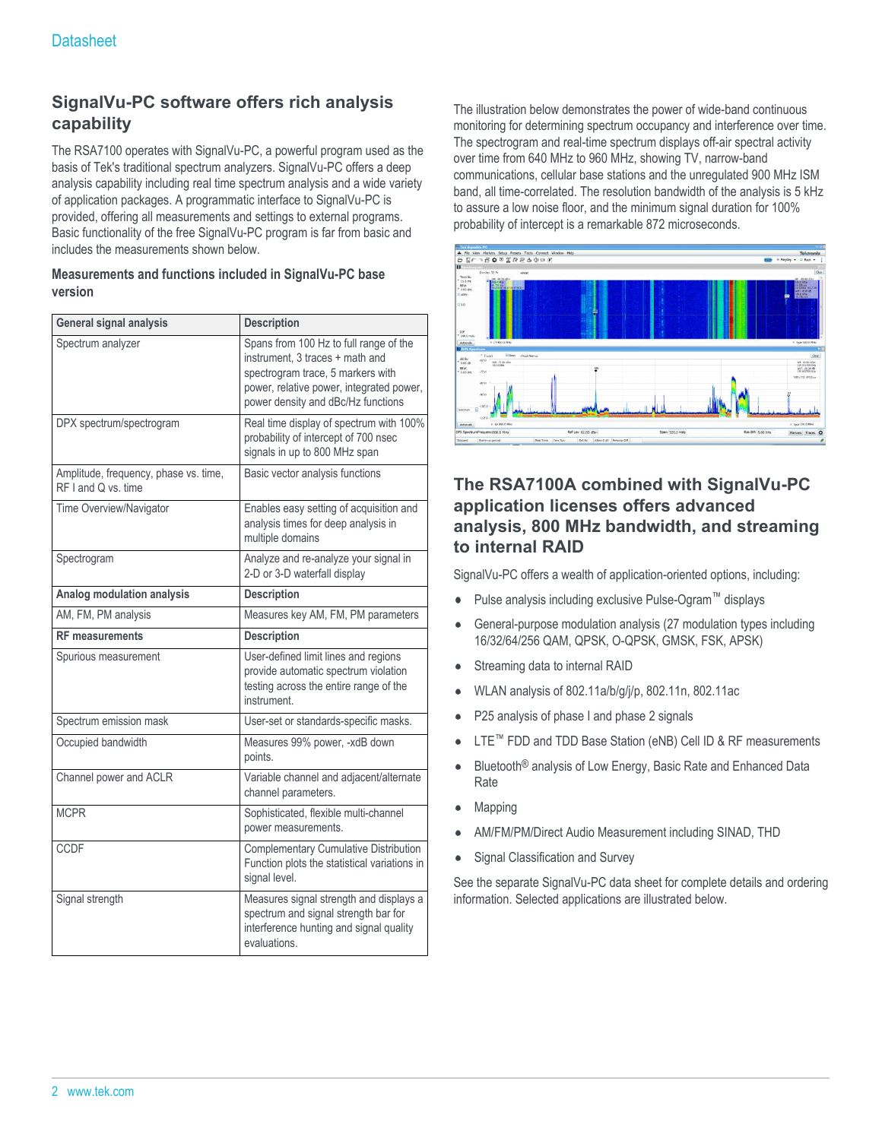## **SignalVu-PC software offers rich analysis capability**

The RSA7100 operates with SignalVu-PC, a powerful program used as the basis of Tek's traditional spectrum analyzers. SignalVu-PC offers a deep analysis capability including real time spectrum analysis and a wide variety of application packages. A programmatic interface to SignalVu-PC is provided, offering all measurements and settings to external programs. Basic functionality of the free SignalVu-PC program is far from basic and includes the measurements shown below.

#### **Measurements and functions included in SignalVu-PC base version**

| General signal analysis                                      | <b>Description</b>                                                                                                                                                                               |
|--------------------------------------------------------------|--------------------------------------------------------------------------------------------------------------------------------------------------------------------------------------------------|
| Spectrum analyzer                                            | Spans from 100 Hz to full range of the<br>instrument, 3 traces + math and<br>spectrogram trace, 5 markers with<br>power, relative power, integrated power,<br>power density and dBc/Hz functions |
| DPX spectrum/spectrogram                                     | Real time display of spectrum with 100%<br>probability of intercept of 700 nsec<br>signals in up to 800 MHz span                                                                                 |
| Amplitude, frequency, phase vs. time,<br>RF I and Q vs. time | Basic vector analysis functions                                                                                                                                                                  |
| Time Overview/Navigator                                      | Enables easy setting of acquisition and<br>analysis times for deep analysis in<br>multiple domains                                                                                               |
| Spectrogram                                                  | Analyze and re-analyze your signal in<br>2-D or 3-D waterfall display                                                                                                                            |
| Analog modulation analysis                                   | <b>Description</b>                                                                                                                                                                               |
| AM, FM, PM analysis                                          | Measures key AM, FM, PM parameters                                                                                                                                                               |
| <b>RF</b> measurements                                       | <b>Description</b>                                                                                                                                                                               |
| Spurious measurement                                         | User-defined limit lines and regions<br>provide automatic spectrum violation<br>testing across the entire range of the<br>instrument.                                                            |
| Spectrum emission mask                                       | User-set or standards-specific masks.                                                                                                                                                            |
| Occupied bandwidth                                           | Measures 99% power, -xdB down<br>points.                                                                                                                                                         |
| Channel power and ACLR                                       | Variable channel and adjacent/alternate<br>channel parameters.                                                                                                                                   |
| <b>MCPR</b>                                                  | Sophisticated, flexible multi-channel<br>power measurements.                                                                                                                                     |
| <b>CCDF</b>                                                  | Complementary Cumulative Distribution<br>Function plots the statistical variations in<br>signal level.                                                                                           |
| Signal strength                                              | Measures signal strength and displays a<br>spectrum and signal strength bar for<br>interference hunting and signal quality<br>evaluations.                                                       |

The illustration below demonstrates the power of wide-band continuous monitoring for determining spectrum occupancy and interference over time. The spectrogram and real-time spectrum displays off-air spectral activity over time from 640 MHz to 960 MHz, showing TV, narrow-band communications, cellular base stations and the unregulated 900 MHz ISM band, all time-correlated. The resolution bandwidth of the analysis is 5 kHz to assure a low noise floor, and the minimum signal duration for 100% probability of intercept is a remarkable 872 microseconds.



## **The RSA7100A combined with SignalVu-PC application licenses offers advanced analysis, 800 MHz bandwidth, and streaming to internal RAID**

SignalVu-PC offers a wealth of application-oriented options, including:

- Pulse analysis including exclusive Pulse-Ogram™ displays
- General-purpose modulation analysis (27 modulation types including 16/32/64/256 QAM, QPSK, O-QPSK, GMSK, FSK, APSK)
- Streaming data to internal RAID
- WLAN analysis of 802.11a/b/g/j/p, 802.11n, 802.11ac
- P25 analysis of phase I and phase 2 signals
- LTE™ FDD and TDD Base Station (eNB) Cell ID & RF measurements
- $\bullet$ Bluetooth® analysis of Low Energy, Basic Rate and Enhanced Data Rate
- Mapping
- AM/FM/PM/Direct Audio Measurement including SINAD, THD
- Signal Classification and Survey  $\bullet$

See the separate SignalVu-PC data sheet for complete details and ordering information. Selected applications are illustrated below.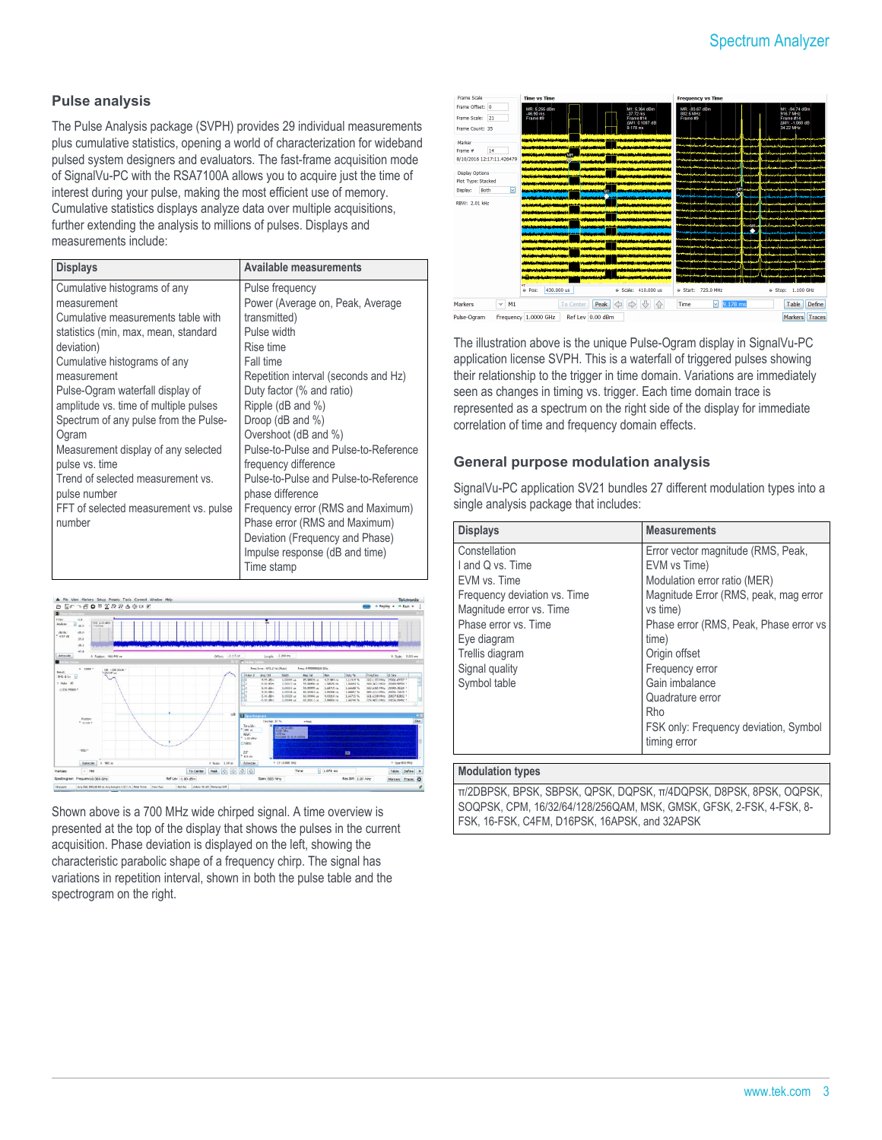#### **Pulse analysis**

The Pulse Analysis package (SVPH) provides 29 individual measurements plus cumulative statistics, opening a world of characterization for wideband pulsed system designers and evaluators. The fast-frame acquisition mode of SignalVu-PC with the RSA7100A allows you to acquire just the time of interest during your pulse, making the most efficient use of memory. Cumulative statistics displays analyze data over multiple acquisitions, further extending the analysis to millions of pulses. Displays and measurements include:

| <b>Displays</b>                       | Available measurements                |
|---------------------------------------|---------------------------------------|
| Cumulative histograms of any          | Pulse frequency                       |
| measurement                           | Power (Average on, Peak, Average      |
| Cumulative measurements table with    | transmitted)                          |
| statistics (min, max, mean, standard  | Pulse width                           |
| deviation)                            | Rise time                             |
| Cumulative histograms of any          | Fall time                             |
| measurement                           | Repetition interval (seconds and Hz)  |
| Pulse-Ogram waterfall display of      | Duty factor (% and ratio)             |
| amplitude vs. time of multiple pulses | Ripple (dB and %)                     |
| Spectrum of any pulse from the Pulse- | Droop (dB and %)                      |
| Ogram                                 | Overshoot (dB and %)                  |
| Measurement display of any selected   | Pulse-to-Pulse and Pulse-to-Reference |
| pulse vs. time                        | frequency difference                  |
| Trend of selected measurement vs.     | Pulse-to-Pulse and Pulse-to-Reference |
| pulse number                          | phase difference                      |
| FFT of selected measurement vs. pulse | Frequency error (RMS and Maximum)     |
| number                                | Phase error (RMS and Maximum)         |
|                                       | Deviation (Frequency and Phase)       |
|                                       | Impulse response (dB and time)        |
|                                       | Time stamp                            |



Shown above is a 700 MHz wide chirped signal. A time overview is presented at the top of the display that shows the pulses in the current acquisition. Phase deviation is displayed on the left, showing the characteristic parabolic shape of a frequency chirp. The signal has variations in repetition interval, shown in both the pulse table and the spectrogram on the right.



The illustration above is the unique Pulse-Ogram display in SignalVu-PC application license SVPH. This is a waterfall of triggered pulses showing their relationship to the trigger in time domain. Variations are immediately seen as changes in timing vs. trigger. Each time domain trace is represented as a spectrum on the right side of the display for immediate correlation of time and frequency domain effects.

#### **General purpose modulation analysis**

SignalVu-PC application SV21 bundles 27 different modulation types into a single analysis package that includes:

| <b>Displays</b>              | <b>Measurements</b>                     |
|------------------------------|-----------------------------------------|
| Constellation                | Error vector magnitude (RMS, Peak,      |
| I and Q vs. Time             | EVM vs Time)                            |
| FVM vs. Time                 | Modulation error ratio (MER)            |
| Frequency deviation vs. Time | Magnitude Error (RMS, peak, mag error   |
| Magnitude error vs. Time     | vs time)                                |
| Phase error vs. Time         | Phase error (RMS, Peak, Phase error vs. |
| Eye diagram                  | time)                                   |
| Trellis diagram              | Origin offset                           |
| Signal quality               | Frequency error                         |
| Symbol table                 | Gain imbalance                          |
|                              | Quadrature error                        |
|                              | Rho                                     |
|                              | FSK only: Frequency deviation, Symbol   |
|                              | timing error                            |
| Madulation America           |                                         |

#### **Modulation types**

π/2DBPSK, BPSK, SBPSK, QPSK, DQPSK, π/4DQPSK, D8PSK, 8PSK, OQPSK, SOQPSK, CPM, 16/32/64/128/256QAM, MSK, GMSK, GFSK, 2-FSK, 4-FSK, 8- FSK, 16-FSK, C4FM, D16PSK, 16APSK, and 32APSK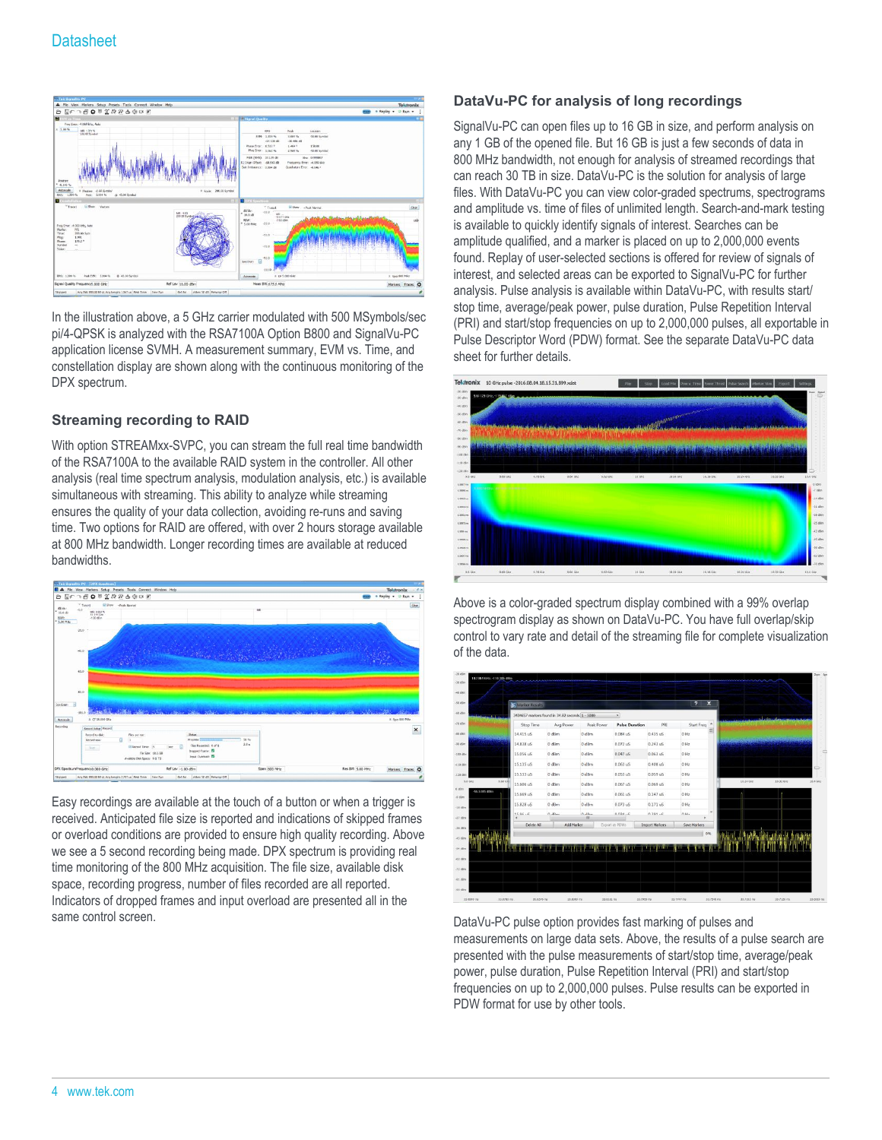

In the illustration above, a 5 GHz carrier modulated with 500 MSymbols/sec pi/4-QPSK is analyzed with the RSA7100A Option B800 and SignalVu-PC application license SVMH. A measurement summary, EVM vs. Time, and constellation display are shown along with the continuous monitoring of the DPX spectrum.

### **Streaming recording to RAID**

With option STREAMxx-SVPC, you can stream the full real time bandwidth of the RSA7100A to the available RAID system in the controller. All other analysis (real time spectrum analysis, modulation analysis, etc.) is available simultaneous with streaming. This ability to analyze while streaming ensures the quality of your data collection, avoiding re-runs and saving time. Two options for RAID are offered, with over 2 hours storage available at 800 MHz bandwidth. Longer recording times are available at reduced bandwidths.



Easy recordings are available at the touch of a button or when a trigger is received. Anticipated file size is reported and indications of skipped frames or overload conditions are provided to ensure high quality recording. Above we see a 5 second recording being made. DPX spectrum is providing real time monitoring of the 800 MHz acquisition. The file size, available disk space, recording progress, number of files recorded are all reported. Indicators of dropped frames and input overload are presented all in the same control screen.

#### **DataVu-PC for analysis of long recordings**

SignalVu-PC can open files up to 16 GB in size, and perform analysis on any 1 GB of the opened file. But 16 GB is just a few seconds of data in 800 MHz bandwidth, not enough for analysis of streamed recordings that can reach 30 TB in size. DataVu-PC is the solution for analysis of large files. With DataVu-PC you can view color-graded spectrums, spectrograms and amplitude vs. time of files of unlimited length. Search-and-mark testing is available to quickly identify signals of interest. Searches can be amplitude qualified, and a marker is placed on up to 2,000,000 events found. Replay of user-selected sections is offered for review of signals of interest, and selected areas can be exported to SignalVu-PC for further analysis. Pulse analysis is available within DataVu-PC, with results start/ stop time, average/peak power, pulse duration, Pulse Repetition Interval (PRI) and start/stop frequencies on up to 2,000,000 pulses, all exportable in Pulse Descriptor Word (PDW) format. See the separate DataVu-PC data sheet for further details.



Above is a color-graded spectrum display combined with a 99% overlap spectrogram display as shown on DataVu-PC. You have full overlap/skip control to vary rate and detail of the streaming file for complete visualization of the data.



DataVu-PC pulse option provides fast marking of pulses and measurements on large data sets. Above, the results of a pulse search are presented with the pulse measurements of start/stop time, average/peak power, pulse duration, Pulse Repetition Interval (PRI) and start/stop frequencies on up to 2,000,000 pulses. Pulse results can be exported in PDW format for use by other tools.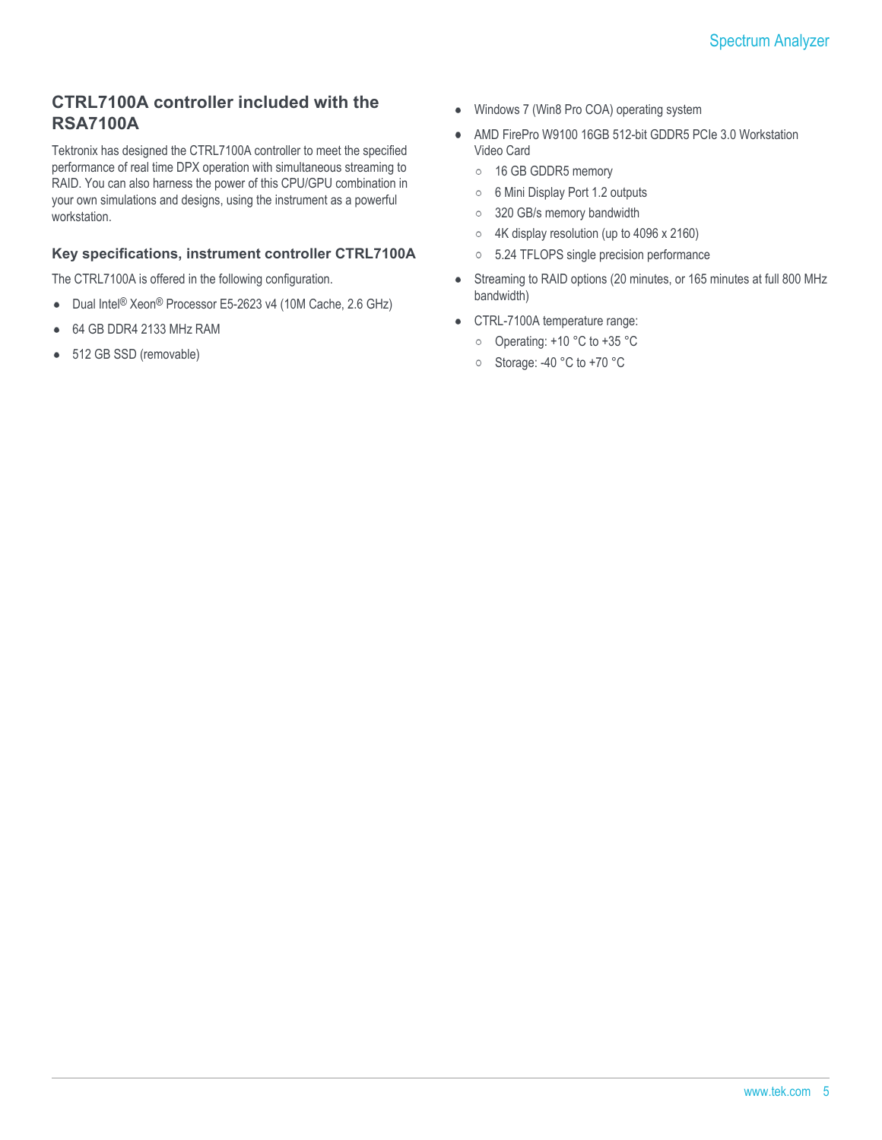## **CTRL7100A controller included with the RSA7100A**

Tektronix has designed the CTRL7100A controller to meet the specified performance of real time DPX operation with simultaneous streaming to RAID. You can also harness the power of this CPU/GPU combination in your own simulations and designs, using the instrument as a powerful workstation.

#### **Key specifications, instrument controller CTRL7100A**

The CTRL7100A is offered in the following configuration.

- Dual Intel® Xeon® Processor E5-2623 v4 (10M Cache, 2.6 GHz)  $\bullet$
- $\bullet$ 64 GB DDR4 2133 MHz RAM
- 512 GB SSD (removable)  $\bullet$
- Windows 7 (Win8 Pro COA) operating system  $\bullet$
- AMD FirePro W9100 16GB 512-bit GDDR5 PCIe 3.0 Workstation  $\bullet$ Video Card
	- o 16 GB GDDR5 memory
	- 6 Mini Display Port 1.2 outputs  $\circ$
	- 320 GB/s memory bandwidth  $\circ$
	- 4K display resolution (up to 4096 x 2160)  $\circ$
	- $\circ$ 5.24 TFLOPS single precision performance
- Streaming to RAID options (20 minutes, or 165 minutes at full 800 MHz  $\bullet$ bandwidth)
- CTRL-7100A temperature range:
	- Operating: +10 °C to +35 °C
	- o Storage: -40 °C to +70 °C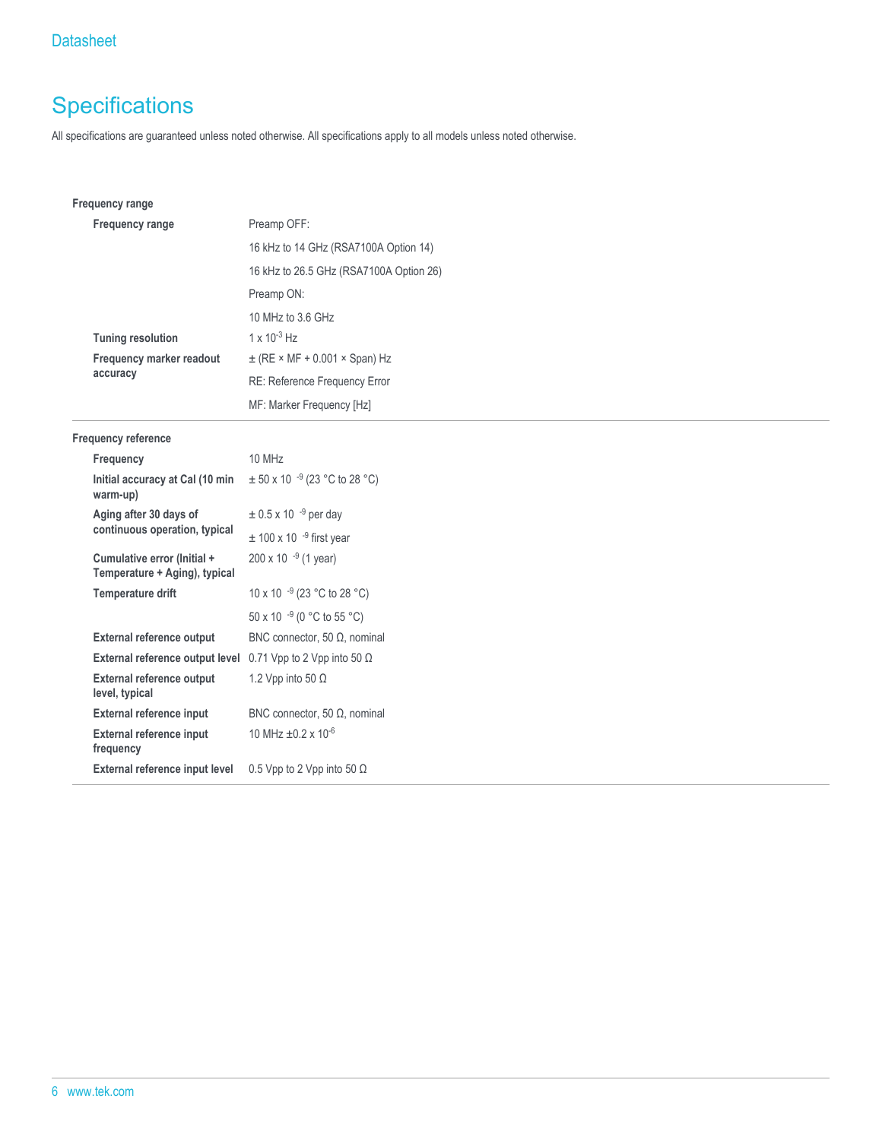## **Specifications**

All specifications are guaranteed unless noted otherwise. All specifications apply to all models unless noted otherwise.

| <b>Frequency range</b>                                       |                                         |
|--------------------------------------------------------------|-----------------------------------------|
| Frequency range                                              | Preamp OFF:                             |
|                                                              | 16 kHz to 14 GHz (RSA7100A Option 14)   |
|                                                              | 16 kHz to 26.5 GHz (RSA7100A Option 26) |
|                                                              | Preamp ON:                              |
|                                                              | 10 MHz to 3.6 GHz                       |
| <b>Tuning resolution</b>                                     | $1 \times 10^{-3}$ Hz                   |
| Frequency marker readout                                     | $\pm$ (RE × MF + 0.001 × Span) Hz       |
| accuracy                                                     | RE: Reference Frequency Error           |
|                                                              | MF: Marker Frequency [Hz]               |
| Frequency reference                                          |                                         |
| Frequency                                                    | 10 MHz                                  |
| Initial accuracy at Cal (10 min<br>warm-up)                  | $\pm$ 50 x 10 $^{-9}$ (23 °C to 28 °C)  |
| Aging after 30 days of                                       | $\pm$ 0.5 x 10 <sup>-9</sup> per day    |
| continuous operation, typical                                | $\pm$ 100 x 10 <sup>-9</sup> first year |
| Cumulative error (Initial +<br>Temperature + Aging), typical | $200 \times 10^{-9}$ (1 year)           |
| <b>Temperature drift</b>                                     | 10 x 10 -9 (23 °C to 28 °C)             |
|                                                              | 50 x 10 -9 (0 °C to 55 °C)              |
| <b>External reference output</b>                             | BNC connector, 50 $\Omega$ , nominal    |
| External reference output level                              | 0.71 Vpp to 2 Vpp into 50 $\Omega$      |
| <b>External reference output</b><br>level, typical           | 1.2 Vpp into 50 $\Omega$                |
| <b>External reference input</b>                              | BNC connector, 50 $\Omega$ , nominal    |
| External reference input<br>frequency                        | 10 MHz $\pm$ 0.2 x 10 <sup>-6</sup>     |
| External reference input level                               | 0.5 Vpp to 2 Vpp into 50 $\Omega$       |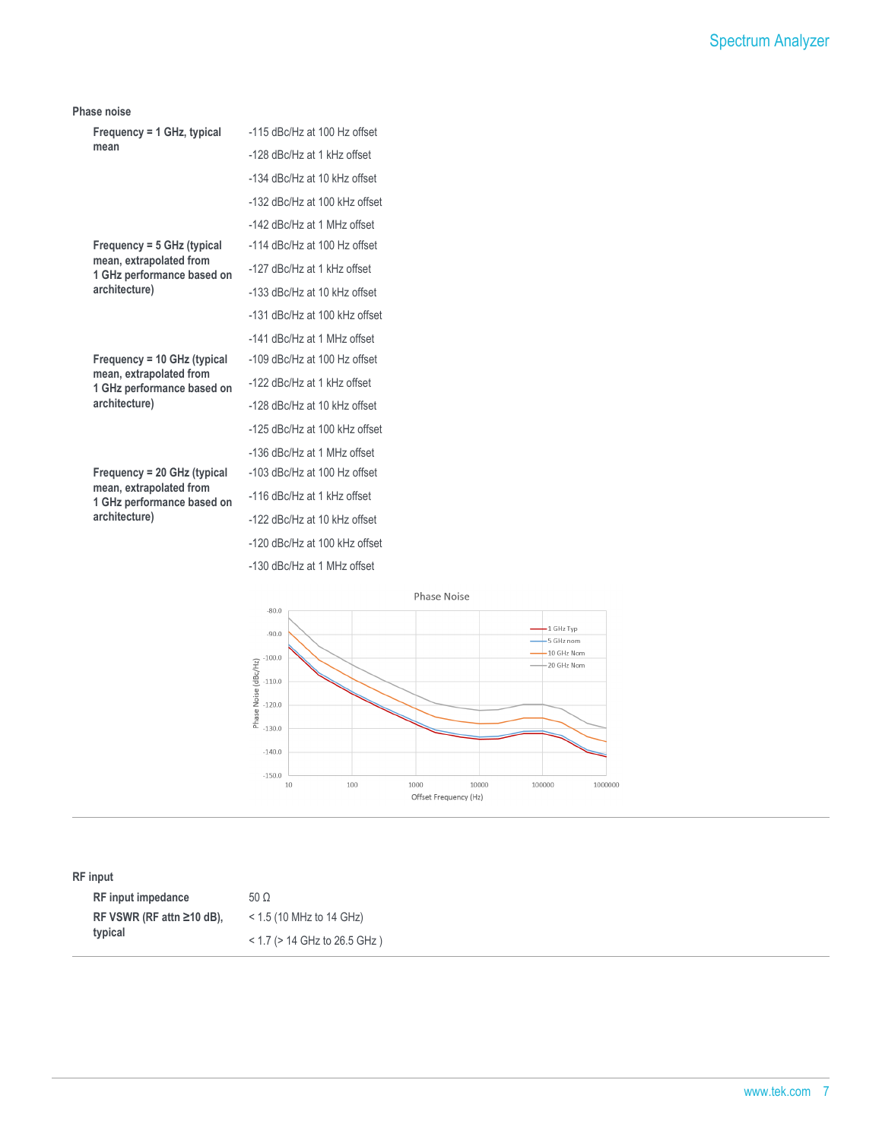#### **Phase noise**

| Frequency = $1$ GHz, typical                          | -115 dBc/Hz at 100 Hz offset     |
|-------------------------------------------------------|----------------------------------|
| mean                                                  | -128 dBc/Hz at 1 kHz offset      |
|                                                       | -134 dBc/Hz at 10 kHz offset     |
|                                                       | -132 dBc/Hz at 100 kHz offset    |
|                                                       | -142 dBc/Hz at 1 MHz offset      |
| Frequency = 5 GHz (typical                            | -114 dBc/Hz at 100 Hz offset     |
| mean, extrapolated from<br>1 GHz performance based on | -127 dBc/Hz at 1 kHz offset      |
| architecture)                                         | -133 dBc/Hz at 10 kHz offset     |
|                                                       | -131 dBc/Hz at 100 kHz offset    |
|                                                       | -141 dBc/Hz at 1 MHz offset      |
| Frequency = 10 GHz (typical                           | $-109$ dBc/Hz at $100$ Hz offset |
| mean, extrapolated from<br>1 GHz performance based on | -122 dBc/Hz at 1 kHz offset      |
| architecture)                                         | -128 dBc/Hz at 10 kHz offset     |
|                                                       | -125 dBc/Hz at 100 kHz offset    |
|                                                       | -136 dBc/Hz at 1 MHz offset      |
| $Frequency = 20 GHz (typical)$                        | -103 dBc/Hz at 100 Hz offset     |
| mean, extrapolated from<br>1 GHz performance based on | -116 dBc/Hz at 1 kHz offset      |
| architecture)                                         | -122 dBc/Hz at 10 kHz offset     |
|                                                       | -120 dBc/Hz at 100 kHz offset    |

-130 dBc/Hz at 1 MHz offset

Phase Noise  $-80.0$  $-1$  GHz Typ<br>-- 5 GHz nom  $-90.0$  $-10$  GHz Nom  $\begin{array}{l} \n 100.0 \\
 \hline\n 100.0 \\
 \hline\n 0.0 \\
 \hline\n 0.0 \\
 \hline\n 0.0 \\
 \hline\n 0.0 \\
 \hline\n 0.0 \\
 \hline\n 0.0 \\
 \hline\n 0.0 \\
 \hline\n 0.0 \\
 \hline\n 0.0 \\
 \hline\n 0.0 \\
 \hline\n 0.0 \\
 \hline\n 0.0 \\
 \hline\n 0.0 \\
 \hline\n 0.0 \\
 \hline\n 0.0 \\
 \hline\n 0.0 \\
 \hline\n 0.0 \\
 \hline\n 0.0 \\
 \hline\n 0.0 \\
 \hline\n 0.0 \\
 \hline\n 0.0 \\
 \hline\n$  $-20$  GHz Nom  $-140.0$  $-150.0$  $10\,$ 100 1000<br>Offset Frequency (Hz) 10000 100000 1000000

**RF input**

| <b>RF</b> input impedance       | $50 \Omega$                       |
|---------------------------------|-----------------------------------|
| RF VSWR (RF attn $\geq$ 10 dB). | $<$ 1.5 (10 MHz to 14 GHz)        |
| typical                         | $<$ 1.7 ( $>$ 14 GHz to 26.5 GHz) |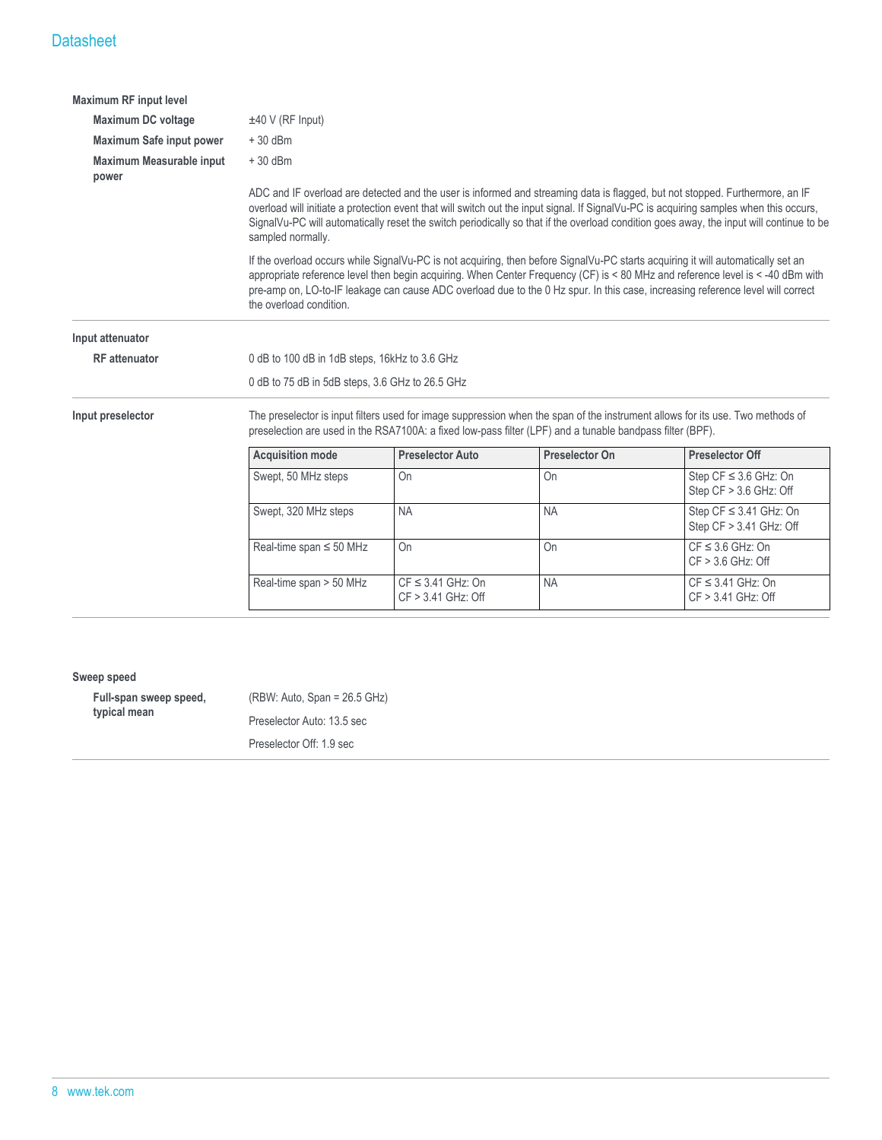| <b>Maximum RF input level</b>     |                                                 |                                                                                                                                                                                                                                                                                                                                                                                                                   |                                                                                                           |                                                                                                                                                                                                                                                                                                                                                                                                       |
|-----------------------------------|-------------------------------------------------|-------------------------------------------------------------------------------------------------------------------------------------------------------------------------------------------------------------------------------------------------------------------------------------------------------------------------------------------------------------------------------------------------------------------|-----------------------------------------------------------------------------------------------------------|-------------------------------------------------------------------------------------------------------------------------------------------------------------------------------------------------------------------------------------------------------------------------------------------------------------------------------------------------------------------------------------------------------|
| <b>Maximum DC voltage</b>         | $±40$ V (RF Input)                              |                                                                                                                                                                                                                                                                                                                                                                                                                   |                                                                                                           |                                                                                                                                                                                                                                                                                                                                                                                                       |
| Maximum Safe input power          | $+30$ dBm                                       |                                                                                                                                                                                                                                                                                                                                                                                                                   |                                                                                                           |                                                                                                                                                                                                                                                                                                                                                                                                       |
| Maximum Measurable input<br>power | $+30$ dBm                                       |                                                                                                                                                                                                                                                                                                                                                                                                                   |                                                                                                           |                                                                                                                                                                                                                                                                                                                                                                                                       |
|                                   | sampled normally.                               | ADC and IF overload are detected and the user is informed and streaming data is flagged, but not stopped. Furthermore, an IF<br>overload will initiate a protection event that will switch out the input signal. If SignalVu-PC is acquiring samples when this occurs,<br>SignalVu-PC will automatically reset the switch periodically so that if the overload condition goes away, the input will continue to be |                                                                                                           |                                                                                                                                                                                                                                                                                                                                                                                                       |
|                                   | the overload condition.                         |                                                                                                                                                                                                                                                                                                                                                                                                                   |                                                                                                           | If the overload occurs while SignalVu-PC is not acquiring, then before SignalVu-PC starts acquiring it will automatically set an<br>appropriate reference level then begin acquiring. When Center Frequency (CF) is < 80 MHz and reference level is < -40 dBm with<br>pre-amp on, LO-to-IF leakage can cause ADC overload due to the 0 Hz spur. In this case, increasing reference level will correct |
| Input attenuator                  |                                                 |                                                                                                                                                                                                                                                                                                                                                                                                                   |                                                                                                           |                                                                                                                                                                                                                                                                                                                                                                                                       |
| <b>RF</b> attenuator              | 0 dB to 100 dB in 1dB steps, 16kHz to 3.6 GHz   |                                                                                                                                                                                                                                                                                                                                                                                                                   |                                                                                                           |                                                                                                                                                                                                                                                                                                                                                                                                       |
|                                   | 0 dB to 75 dB in 5dB steps, 3.6 GHz to 26.5 GHz |                                                                                                                                                                                                                                                                                                                                                                                                                   |                                                                                                           |                                                                                                                                                                                                                                                                                                                                                                                                       |
| Input preselector                 |                                                 |                                                                                                                                                                                                                                                                                                                                                                                                                   | preselection are used in the RSA7100A: a fixed low-pass filter (LPF) and a tunable bandpass filter (BPF). | The preselector is input filters used for image suppression when the span of the instrument allows for its use. Two methods of                                                                                                                                                                                                                                                                        |
|                                   | <b>Acquisition mode</b>                         | <b>Preselector Auto</b>                                                                                                                                                                                                                                                                                                                                                                                           | <b>Preselector On</b>                                                                                     | <b>Preselector Off</b>                                                                                                                                                                                                                                                                                                                                                                                |
|                                   | Swept, 50 MHz steps                             | On                                                                                                                                                                                                                                                                                                                                                                                                                | <b>On</b>                                                                                                 | Step $CF \leq 3.6$ GHz: On<br>Step CF > 3.6 GHz: Off                                                                                                                                                                                                                                                                                                                                                  |
|                                   | Swept, 320 MHz steps                            | <b>NA</b>                                                                                                                                                                                                                                                                                                                                                                                                         | <b>NA</b>                                                                                                 | Step $CF \leq 3.41$ GHz: On<br>Step CF > 3.41 GHz: Off                                                                                                                                                                                                                                                                                                                                                |
|                                   | Real-time span $\leq$ 50 MHz                    | <b>On</b>                                                                                                                                                                                                                                                                                                                                                                                                         | O <sub>n</sub>                                                                                            | $CF \leq 3.6$ GHz: On<br>$CF > 3.6$ GHz: Off                                                                                                                                                                                                                                                                                                                                                          |
|                                   | Real-time span > 50 MHz                         | $CF \leq 3.41$ GHz: On<br>$CF > 3.41$ GHz: Off                                                                                                                                                                                                                                                                                                                                                                    | <b>NA</b>                                                                                                 | $CF \leq 3.41$ GHz: On<br>CF > 3.41 GHz: Off                                                                                                                                                                                                                                                                                                                                                          |

#### **Sweep speed**

| Full-span sweep speed,<br>typical mean | $(RBW: Auto, Span = 26.5 GHz)$ |
|----------------------------------------|--------------------------------|
|                                        | Preselector Auto: 13.5 sec     |
|                                        | Preselector Off: 1.9 sec       |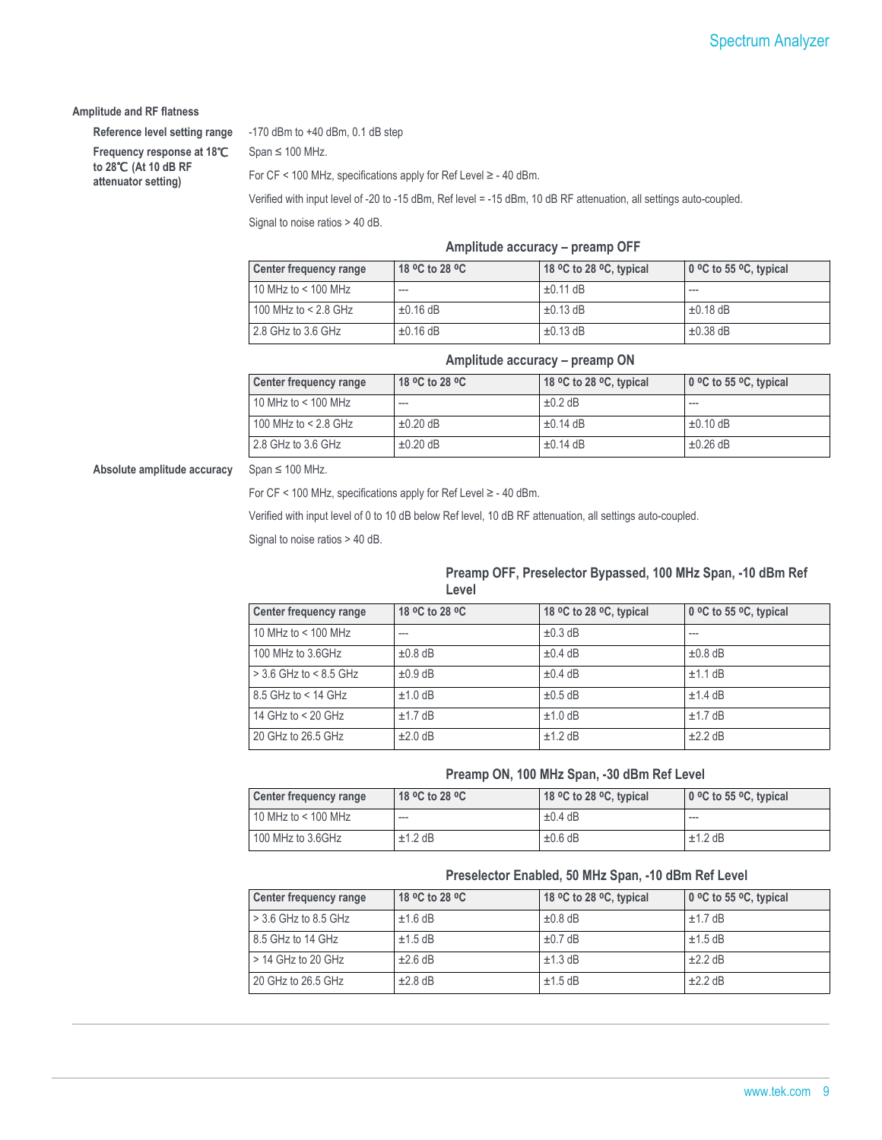#### **Amplitude and RF flatness**

**Frequency response at 18**℃ **to 28**℃ **(At 10 dB RF attenuator setting)**

**Reference level setting range** -170 dBm to +40 dBm, 0.1 dB step

 $Span \leq 100$  MHz.

For CF < 100 MHz, specifications apply for Ref Level ≥ - 40 dBm.

Verified with input level of -20 to -15 dBm, Ref level = -15 dBm, 10 dB RF attenuation, all settings auto-coupled.

Signal to noise ratios > 40 dB.

#### **Amplitude accuracy – preamp OFF**

| Center frequency range | 18 °C to 28 °C | 18 °C to 28 °C, typical | $\vert$ 0 °C to 55 °C, typical |
|------------------------|----------------|-------------------------|--------------------------------|
| 10 MHz to $<$ 100 MHz  | ---            | $\pm 0.11$ dB           | $- - -$                        |
| 100 MHz to $<$ 2.8 GHz | $\pm 0.16$ dB  | $\pm 0.13$ dB           | $\pm 0.18$ dB                  |
| 2.8 GHz to 3.6 GHz     | $\pm 0.16$ dB  | $\pm 0.13$ dB           | $\pm 0.38$ dB                  |

#### **Amplitude accuracy – preamp ON**

| Center frequency range | 18 °C to 28 °C | 18 °C to 28 °C, typical | $\vert$ 0 °C to 55 °C, typical |
|------------------------|----------------|-------------------------|--------------------------------|
| 10 MHz to < 100 MHz    | ---            | $\pm 0.2$ dB            | ---                            |
| 100 MHz to < 2.8 GHz   | $\pm 0.20$ dB  | $\pm 0.14$ dB           | $\pm 0.10$ dB                  |
| 2.8 GHz to 3.6 GHz     | $\pm 0.20$ dB  | $\pm 0.14$ dB           | $\pm 0.26$ dB                  |

**Absolute amplitude accuracy** Span ≤ 100 MHz.

For CF < 100 MHz, specifications apply for Ref Level ≥ - 40 dBm.

Verified with input level of 0 to 10 dB below Ref level, 10 dB RF attenuation, all settings auto-coupled.

Signal to noise ratios > 40 dB.

#### **Preamp OFF, Preselector Bypassed, 100 MHz Span, -10 dBm Ref Level**

| Center frequency range   | 18 °C to 28 °C | 18 °C to 28 °C, typical | 0 °C to 55 °C, typical |
|--------------------------|----------------|-------------------------|------------------------|
| 10 MHz to $<$ 100 MHz    | ---            | $\pm 0.3$ dB            | ---                    |
| 100 MHz to 3.6GHz        | $\pm 0.8$ dB   | $\pm 0.4$ dB            | $\pm 0.8$ dB           |
| $>$ 3.6 GHz to < 8.5 GHz | $\pm 0.9$ dB   | $\pm 0.4$ dB            | ±1.1 dB                |
| $8.5$ GHz to < 14 GHz    | $±1.0$ dB      | $\pm 0.5$ dB            | $±1.4$ dB              |
| 14 GHz to $<$ 20 GHz     | $±1.7$ dB      | $±1.0$ dB               | $±1.7$ dB              |
| 20 GHz to 26.5 GHz       | $±2.0$ dB      | $±1.2$ dB               | $\pm 2.2$ dB           |

#### **Preamp ON, 100 MHz Span, -30 dBm Ref Level**

| Center frequency range | 18 °C to 28 °C | 18 °C to 28 °C, typical | 0 °C to 55 °C, typical |
|------------------------|----------------|-------------------------|------------------------|
| 10 MHz to < 100 MHz    | ---            | $\pm 0.4$ dB            | ---                    |
| 100 MHz to 3.6GHz      | $±1.2$ dB      | $\pm 0.6$ dB            | $±1.2$ dB              |

#### **Preselector Enabled, 50 MHz Span, -10 dBm Ref Level**

| Center frequency range | 18 °C to 28 °C | 18 °C to 28 °C, typical | 0 °C to 55 °C, typical |
|------------------------|----------------|-------------------------|------------------------|
| $>$ 3.6 GHz to 8.5 GHz | $±1.6$ dB      | $\pm 0.8$ dB            | $±1.7$ dB              |
| 8.5 GHz to 14 GHz      | $±1.5$ dB      | $\pm 0.7$ dB            | $±1.5$ dB              |
| $>$ 14 GHz to 20 GHz   | $\pm 2.6$ dB   | $\pm$ 1.3 dB            | $+2.2$ dB              |
| 20 GHz to 26.5 GHz     | $\pm 2.8$ dB   | $±1.5$ dB               | $±2.2$ dB              |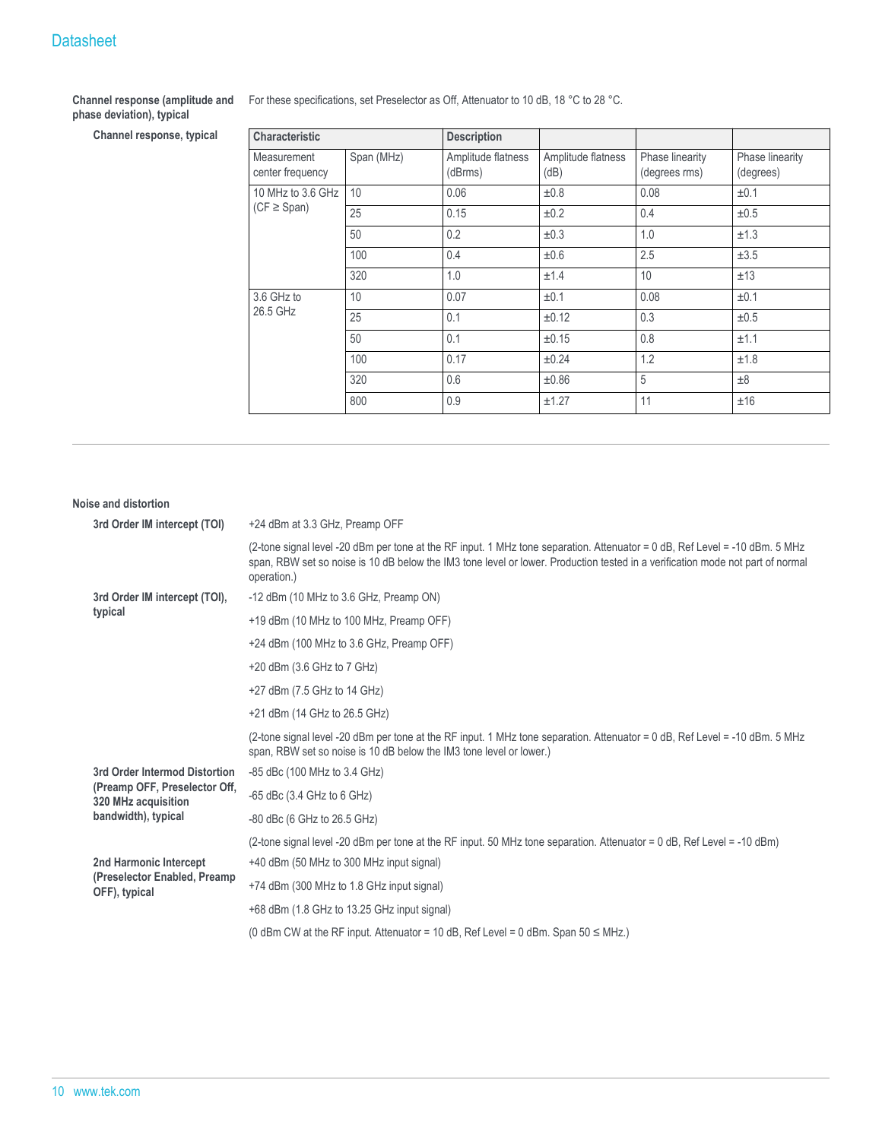#### **Channel response (amplitude and phase deviation), typical**

 $Channel$  response, typical

| For these specifications, set Preselector as Off, Attenuator to 10 dB, 18 °C to 28 °C. |  |  |
|----------------------------------------------------------------------------------------|--|--|
|                                                                                        |  |  |

| <b>Characteristic</b>                         |     | <b>Description</b>            |                            |                                  |                              |
|-----------------------------------------------|-----|-------------------------------|----------------------------|----------------------------------|------------------------------|
| Span (MHz)<br>Measurement<br>center frequency |     | Amplitude flatness<br>(dBrms) | Amplitude flatness<br>(dB) | Phase linearity<br>(degrees rms) | Phase linearity<br>(degrees) |
| 10 MHz to 3.6 GHz                             | 10  | 0.06                          | ±0.8                       | 0.08                             | ±0.1                         |
| $(CF \geq Span)$                              | 25  | 0.15                          | ±0.2                       | 0.4                              | ±0.5                         |
|                                               | 50  | 0.2                           | ±0.3                       | 1.0                              | ±1.3                         |
|                                               | 100 | 0.4                           | ±0.6                       | 2.5                              | ±3.5                         |
|                                               | 320 | 1.0                           | ±1.4                       | 10                               | ±13                          |
| 3.6 GHz to                                    | 10  | 0.07                          | ±0.1                       | 0.08                             | ±0.1                         |
| 26.5 GHz                                      | 25  | 0.1                           | ±0.12                      | 0.3                              | ±0.5                         |
|                                               | 50  | 0.1                           | $\pm 0.15$                 | 0.8                              | ±1.1                         |
|                                               | 100 | 0.17                          | $\pm 0.24$                 | 1.2                              | ±1.8                         |
|                                               | 320 | 0.6                           | ±0.86                      | 5                                | ±8                           |
|                                               | 800 | 0.9                           | ±1.27                      | 11                               | ±16                          |

| Noise and distortion                                 |                                                                                                                                                                                                                                                                              |  |  |  |  |  |
|------------------------------------------------------|------------------------------------------------------------------------------------------------------------------------------------------------------------------------------------------------------------------------------------------------------------------------------|--|--|--|--|--|
| 3rd Order IM intercept (TOI)                         | +24 dBm at 3.3 GHz, Preamp OFF                                                                                                                                                                                                                                               |  |  |  |  |  |
|                                                      | (2-tone signal level -20 dBm per tone at the RF input. 1 MHz tone separation. Attenuator = 0 dB, Ref Level = -10 dBm, 5 MHz<br>span, RBW set so noise is 10 dB below the IM3 tone level or lower. Production tested in a verification mode not part of normal<br>operation.) |  |  |  |  |  |
| 3rd Order IM intercept (TOI),                        | -12 dBm (10 MHz to 3.6 GHz, Preamp ON)                                                                                                                                                                                                                                       |  |  |  |  |  |
| typical                                              | +19 dBm (10 MHz to 100 MHz, Preamp OFF)                                                                                                                                                                                                                                      |  |  |  |  |  |
|                                                      | +24 dBm (100 MHz to 3.6 GHz, Preamp OFF)                                                                                                                                                                                                                                     |  |  |  |  |  |
|                                                      | +20 dBm (3.6 GHz to 7 GHz)                                                                                                                                                                                                                                                   |  |  |  |  |  |
|                                                      | +27 dBm (7.5 GHz to 14 GHz)                                                                                                                                                                                                                                                  |  |  |  |  |  |
|                                                      | +21 dBm (14 GHz to 26.5 GHz)                                                                                                                                                                                                                                                 |  |  |  |  |  |
|                                                      | (2-tone signal level -20 dBm per tone at the RF input. 1 MHz tone separation. Attenuator = 0 dB, Ref Level = -10 dBm. 5 MHz<br>span, RBW set so noise is 10 dB below the IM3 tone level or lower.)                                                                           |  |  |  |  |  |
| 3rd Order Intermod Distortion                        | -85 dBc (100 MHz to 3.4 GHz)                                                                                                                                                                                                                                                 |  |  |  |  |  |
| (Preamp OFF, Preselector Off,<br>320 MHz acquisition | $-65$ dBc $(3.4$ GHz to 6 GHz)                                                                                                                                                                                                                                               |  |  |  |  |  |
| bandwidth), typical                                  | $-80$ dBc (6 GHz to 26.5 GHz)                                                                                                                                                                                                                                                |  |  |  |  |  |
|                                                      | (2-tone signal level -20 dBm per tone at the RF input. 50 MHz tone separation. Attenuator = 0 dB, Ref Level = -10 dBm)                                                                                                                                                       |  |  |  |  |  |
| 2nd Harmonic Intercept                               | +40 dBm (50 MHz to 300 MHz input signal)                                                                                                                                                                                                                                     |  |  |  |  |  |
| (Preselector Enabled, Preamp<br>OFF), typical        | +74 dBm (300 MHz to 1.8 GHz input signal)                                                                                                                                                                                                                                    |  |  |  |  |  |
|                                                      | +68 dBm (1.8 GHz to 13.25 GHz input signal)                                                                                                                                                                                                                                  |  |  |  |  |  |
|                                                      | (0 dBm CW at the RF input. Attenuator = 10 dB, Ref Level = 0 dBm. Span $50 \leq MHz$ .)                                                                                                                                                                                      |  |  |  |  |  |
|                                                      |                                                                                                                                                                                                                                                                              |  |  |  |  |  |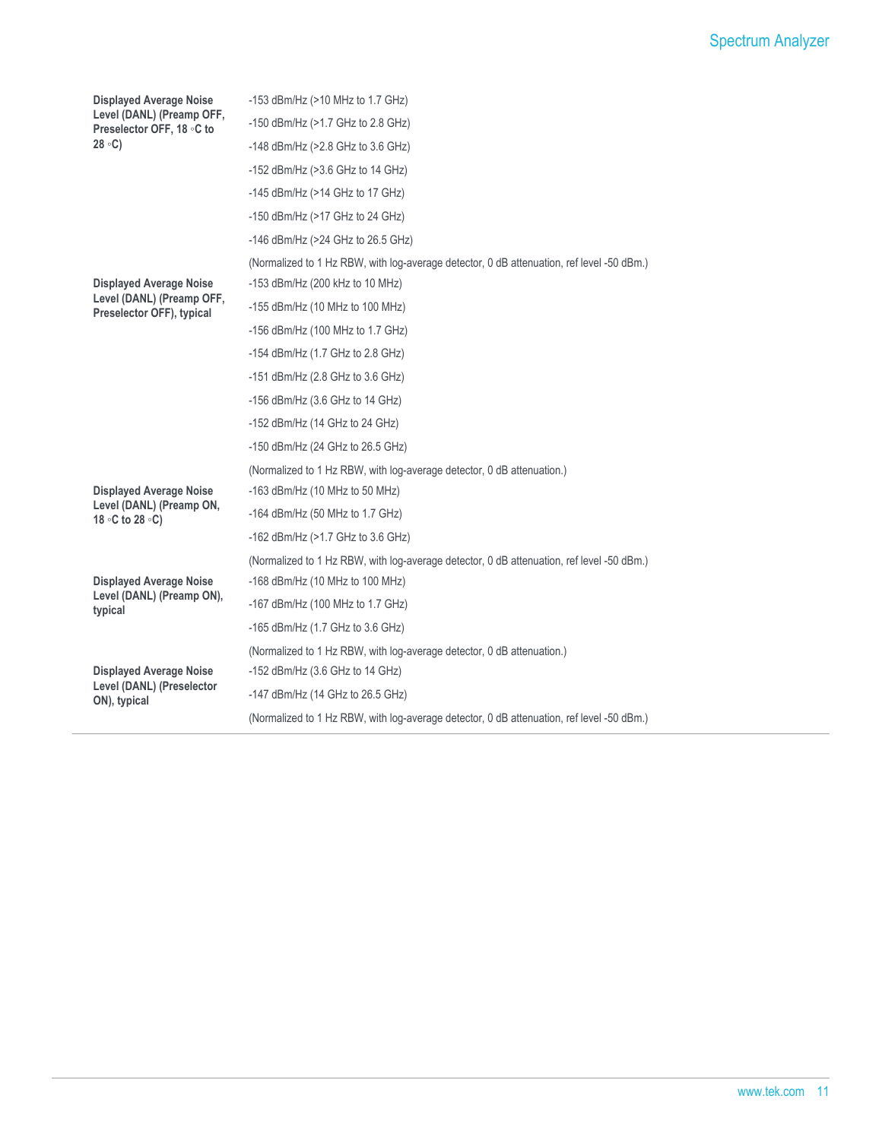| <b>Displayed Average Noise</b>                              | $-153$ dBm/Hz ( $>10$ MHz to 1.7 GHz)                                                     |
|-------------------------------------------------------------|-------------------------------------------------------------------------------------------|
| Level (DANL) (Preamp OFF,<br>Preselector OFF, 18 ∘C to      | -150 dBm/Hz (>1.7 GHz to 2.8 GHz)                                                         |
| $28 \text{ }^{\circ}C$                                      | -148 dBm/Hz (>2.8 GHz to 3.6 GHz)                                                         |
|                                                             | $-152$ dBm/Hz ( $>3.6$ GHz to 14 GHz)                                                     |
|                                                             | $-145$ dBm/Hz ( $>14$ GHz to 17 GHz)                                                      |
|                                                             | -150 dBm/Hz ( $>17$ GHz to 24 GHz)                                                        |
|                                                             | -146 dBm/Hz (>24 GHz to 26.5 GHz)                                                         |
|                                                             | (Normalized to 1 Hz RBW, with log-average detector, 0 dB attenuation, ref level -50 dBm.) |
| <b>Displayed Average Noise</b>                              | -153 dBm/Hz (200 kHz to 10 MHz)                                                           |
| Level (DANL) (Preamp OFF,<br>Preselector OFF), typical      | $-155$ dBm/Hz (10 MHz to 100 MHz)                                                         |
|                                                             | $-156$ dBm/Hz (100 MHz to 1.7 GHz)                                                        |
|                                                             | -154 dBm/Hz (1.7 GHz to 2.8 GHz)                                                          |
|                                                             | $-151$ dBm/Hz (2.8 GHz to 3.6 GHz)                                                        |
|                                                             | $-156$ dBm/Hz (3.6 GHz to 14 GHz)                                                         |
|                                                             | $-152$ dBm/Hz (14 GHz to 24 GHz)                                                          |
|                                                             | $-150$ dBm/Hz (24 GHz to 26.5 GHz)                                                        |
|                                                             | (Normalized to 1 Hz RBW, with log-average detector, 0 dB attenuation.)                    |
| <b>Displayed Average Noise</b>                              | $-163$ dBm/Hz (10 MHz to 50 MHz)                                                          |
| Level (DANL) (Preamp ON,<br>18 °C to 28 °C)                 | $-164$ dBm/Hz (50 MHz to 1.7 GHz)                                                         |
|                                                             | -162 dBm/Hz (>1.7 GHz to 3.6 GHz)                                                         |
|                                                             | (Normalized to 1 Hz RBW, with log-average detector, 0 dB attenuation, ref level -50 dBm.) |
| <b>Displayed Average Noise</b>                              | $-168$ dBm/Hz (10 MHz to 100 MHz)                                                         |
| Level (DANL) (Preamp ON),<br>typical                        | -167 dBm/Hz (100 MHz to 1.7 GHz)                                                          |
|                                                             | -165 dBm/Hz (1.7 GHz to 3.6 GHz)                                                          |
|                                                             | (Normalized to 1 Hz RBW, with log-average detector, 0 dB attenuation.)                    |
| <b>Displayed Average Noise</b><br>Level (DANL) (Preselector | -152 dBm/Hz $(3.6$ GHz to 14 GHz)                                                         |
| ON), typical                                                | -147 dBm/Hz (14 GHz to 26.5 GHz)                                                          |
|                                                             | (Normalized to 1 Hz RBW, with log-average detector, 0 dB attenuation, ref level -50 dBm.) |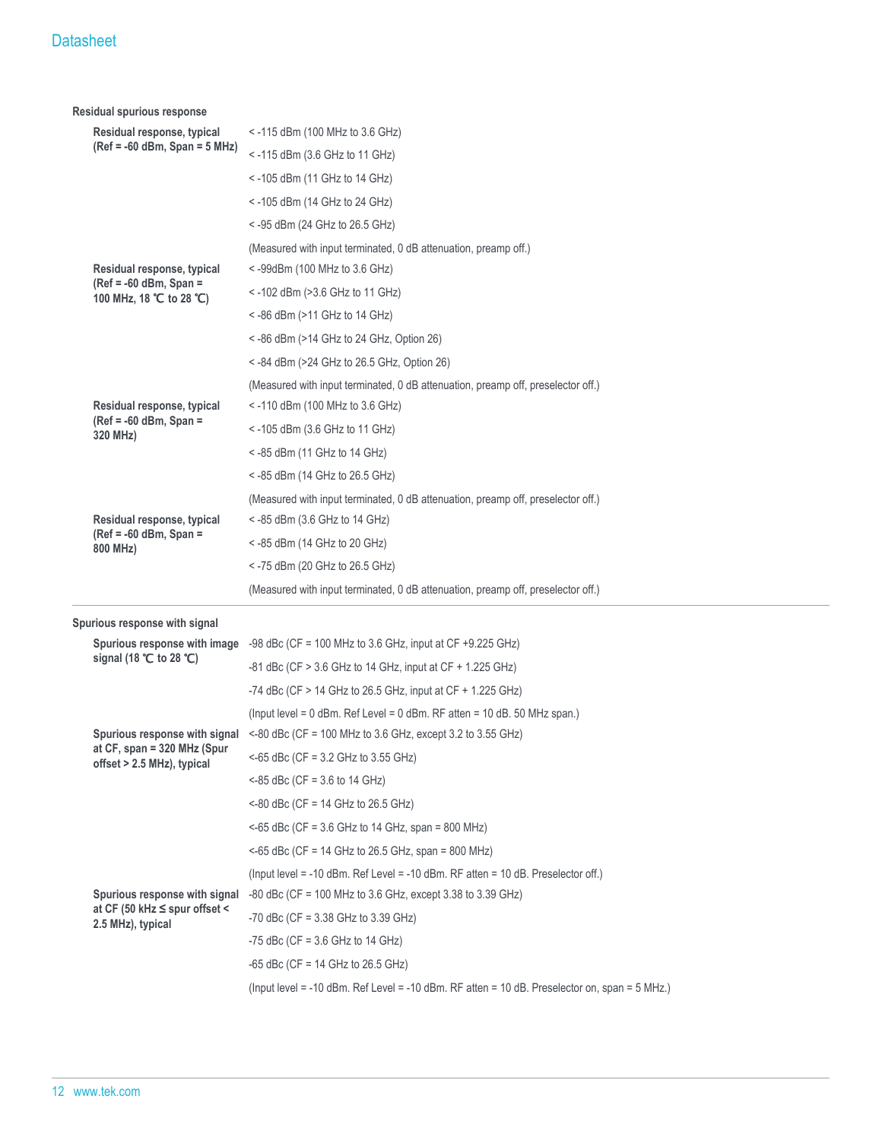|  | Residual spurious response                                 |                                                                                                |
|--|------------------------------------------------------------|------------------------------------------------------------------------------------------------|
|  | Residual response, typical                                 | $<$ -115 dBm (100 MHz to 3.6 GHz)                                                              |
|  | (Ref = -60 dBm, Span = 5 MHz)                              | <-115 dBm (3.6 GHz to 11 GHz)                                                                  |
|  |                                                            | $<$ -105 dBm (11 GHz to 14 GHz)                                                                |
|  |                                                            | < -105 dBm (14 GHz to 24 GHz)                                                                  |
|  |                                                            | < -95 dBm (24 GHz to 26.5 GHz)                                                                 |
|  |                                                            | (Measured with input terminated, 0 dB attenuation, preamp off.)                                |
|  | Residual response, typical                                 | <-99dBm (100 MHz to 3.6 GHz)                                                                   |
|  | (Ref = $-60$ dBm, Span =<br>100 MHz, 18 ℃ to 28 ℃)         | $<$ -102 dBm (>3.6 GHz to 11 GHz)                                                              |
|  |                                                            | $<$ -86 dBm (>11 GHz to 14 GHz)                                                                |
|  |                                                            | $\le$ -86 dBm (>14 GHz to 24 GHz, Option 26)                                                   |
|  |                                                            | < -84 dBm (>24 GHz to 26.5 GHz, Option 26)                                                     |
|  |                                                            | (Measured with input terminated, 0 dB attenuation, preamp off, preselector off.)               |
|  | Residual response, typical                                 | <-110 dBm (100 MHz to 3.6 GHz)                                                                 |
|  | (Ref = $-60$ dBm, Span =<br>320 MHz)                       | $<$ -105 dBm (3.6 GHz to 11 GHz)                                                               |
|  |                                                            | $<$ -85 dBm (11 GHz to 14 GHz)                                                                 |
|  |                                                            | <-85 dBm (14 GHz to 26.5 GHz)                                                                  |
|  |                                                            | (Measured with input terminated, 0 dB attenuation, preamp off, preselector off.)               |
|  | Residual response, typical                                 | $<$ -85 dBm (3.6 GHz to 14 GHz)                                                                |
|  | (Ref = $-60$ dBm, Span =<br>800 MHz)                       | < -85 dBm (14 GHz to 20 GHz)                                                                   |
|  |                                                            | < -75 dBm (20 GHz to 26.5 GHz)                                                                 |
|  |                                                            | (Measured with input terminated, 0 dB attenuation, preamp off, preselector off.)               |
|  | Spurious response with signal                              |                                                                                                |
|  | Spurious response with image                               | -98 dBc (CF = 100 MHz to 3.6 GHz, input at CF $+9.225$ GHz)                                    |
|  | signal (18 $°C$ to 28 $°C$ )                               | $-81$ dBc (CF $> 3.6$ GHz to 14 GHz, input at CF $+ 1.225$ GHz)                                |
|  |                                                            | -74 dBc (CF > 14 GHz to 26.5 GHz, input at CF + 1.225 GHz)                                     |
|  |                                                            | (lnput level = 0 dBm. Ref Level = 0 dBm. RF atten = 10 dB. 50 MHz span.)                       |
|  |                                                            | Spurious response with signal $\leq$ -80 dBc (CF = 100 MHz to 3.6 GHz, except 3.2 to 3.55 GHz) |
|  | at CF, span = 320 MHz (Spur<br>offset > 2.5 MHz), typical  | <-65 dBc (CF = $3.2$ GHz to $3.55$ GHz)                                                        |
|  |                                                            | $<$ -85 dBc (CF = 3.6 to 14 GHz)                                                               |
|  |                                                            | $< 80$ dBc (CF = 14 GHz to 26.5 GHz)                                                           |
|  |                                                            | <-65 dBc (CF = 3.6 GHz to 14 GHz, span = 800 MHz)                                              |
|  |                                                            | <-65 dBc (CF = 14 GHz to 26.5 GHz, span = 800 MHz)                                             |
|  |                                                            | (lnput level = $-10$ dBm. Ref Level = $-10$ dBm. RF atten = 10 dB. Preselector off.)           |
|  | Spurious response with signal                              | $-80$ dBc (CF = 100 MHz to 3.6 GHz, except 3.38 to 3.39 GHz)                                   |
|  | at CF (50 kHz $\le$ spur offset $\le$<br>2.5 MHz), typical | $-70$ dBc (CF = 3.38 GHz to 3.39 GHz)                                                          |
|  |                                                            | $-75$ dBc (CF = 3.6 GHz to 14 GHz)                                                             |
|  |                                                            | $-65$ dBc (CF = 14 GHz to 26.5 GHz)                                                            |
|  |                                                            | (Input level = -10 dBm. Ref Level = -10 dBm. RF atten = 10 dB. Preselector on, span = 5 MHz.)  |
|  |                                                            |                                                                                                |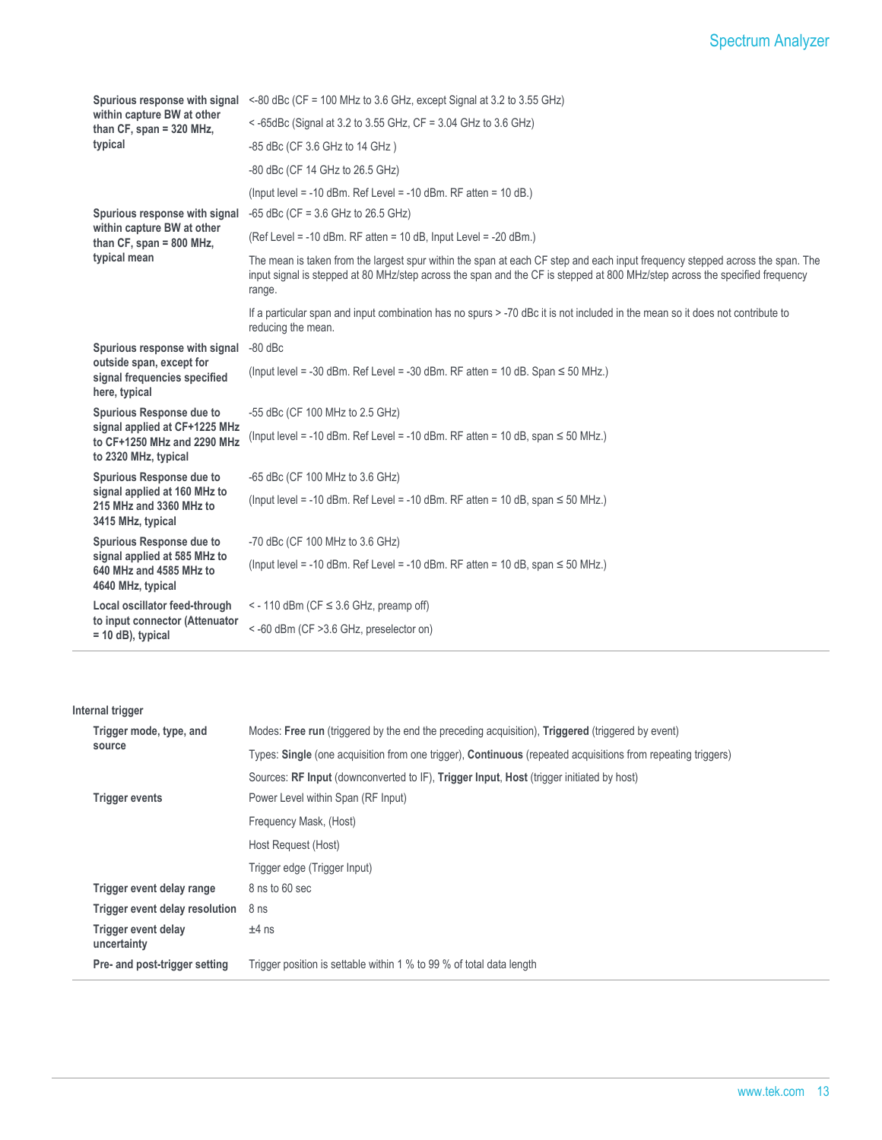| Spurious response with signal                                                        | <-80 dBc (CF = 100 MHz to 3.6 GHz, except Signal at 3.2 to 3.55 GHz)                                                                                                                                                                                                   |  |  |  |  |  |
|--------------------------------------------------------------------------------------|------------------------------------------------------------------------------------------------------------------------------------------------------------------------------------------------------------------------------------------------------------------------|--|--|--|--|--|
| within capture BW at other<br>than CF, span = 320 MHz,                               | < -65dBc (Signal at 3.2 to 3.55 GHz, $CF = 3.04$ GHz to 3.6 GHz)                                                                                                                                                                                                       |  |  |  |  |  |
| typical                                                                              | -85 dBc (CF 3.6 GHz to 14 GHz)                                                                                                                                                                                                                                         |  |  |  |  |  |
|                                                                                      | -80 dBc (CF 14 GHz to 26.5 GHz)                                                                                                                                                                                                                                        |  |  |  |  |  |
|                                                                                      | (lnput level = $-10$ dBm. Ref Level = $-10$ dBm. RF atten = $10$ dB.)                                                                                                                                                                                                  |  |  |  |  |  |
| Spurious response with signal                                                        | $-65$ dBc (CF = 3.6 GHz to 26.5 GHz)                                                                                                                                                                                                                                   |  |  |  |  |  |
| within capture BW at other<br>than $CF$ , span = 800 MHz,                            | (Ref Level = $-10$ dBm. RF atten = $10$ dB, lnput Level = $-20$ dBm.)                                                                                                                                                                                                  |  |  |  |  |  |
| typical mean                                                                         | The mean is taken from the largest spur within the span at each CF step and each input frequency stepped across the span. The<br>input signal is stepped at 80 MHz/step across the span and the CF is stepped at 800 MHz/step across the specified frequency<br>range. |  |  |  |  |  |
|                                                                                      | If a particular span and input combination has no spurs > -70 dBc it is not included in the mean so it does not contribute to<br>reducing the mean.                                                                                                                    |  |  |  |  |  |
| Spurious response with signal                                                        | $-80$ dBc                                                                                                                                                                                                                                                              |  |  |  |  |  |
| outside span, except for<br>signal frequencies specified<br>here, typical            | (Input level = -30 dBm. Ref Level = -30 dBm. RF atten = 10 dB. Span $\leq$ 50 MHz.)                                                                                                                                                                                    |  |  |  |  |  |
| Spurious Response due to                                                             | -55 dBc (CF 100 MHz to 2.5 GHz)                                                                                                                                                                                                                                        |  |  |  |  |  |
| signal applied at CF+1225 MHz<br>to CF+1250 MHz and 2290 MHz<br>to 2320 MHz, typical | (lnput level = -10 dBm. Ref Level = -10 dBm. RF atten = 10 dB, span $\leq$ 50 MHz.)                                                                                                                                                                                    |  |  |  |  |  |
| Spurious Response due to                                                             | -65 dBc (CF 100 MHz to 3.6 GHz)                                                                                                                                                                                                                                        |  |  |  |  |  |
| signal applied at 160 MHz to<br>215 MHz and 3360 MHz to<br>3415 MHz, typical         | (Input level = -10 dBm. Ref Level = -10 dBm. RF atten = 10 dB, span $\leq$ 50 MHz.)                                                                                                                                                                                    |  |  |  |  |  |
| Spurious Response due to                                                             | -70 dBc (CF 100 MHz to 3.6 GHz)                                                                                                                                                                                                                                        |  |  |  |  |  |
| signal applied at 585 MHz to<br>640 MHz and 4585 MHz to<br>4640 MHz, typical         | (Input level = -10 dBm. Ref Level = -10 dBm. RF atten = 10 dB, span $\leq$ 50 MHz.)                                                                                                                                                                                    |  |  |  |  |  |
| Local oscillator feed-through                                                        | $\le$ - 110 dBm (CF $\le$ 3.6 GHz, preamp off)                                                                                                                                                                                                                         |  |  |  |  |  |
| to input connector (Attenuator<br>$= 10$ dB), typical                                | <-60 dBm (CF > 3.6 GHz, preselector on)                                                                                                                                                                                                                                |  |  |  |  |  |

#### **Internal trigger**

 $\overline{a}$ 

| Modes: Free run (triggered by the end the preceding acquisition), Triggered (triggered by event)             |
|--------------------------------------------------------------------------------------------------------------|
| Types: Single (one acquisition from one trigger), Continuous (repeated acquisitions from repeating triggers) |
| Sources: RF Input (downconverted to IF), Trigger Input, Host (trigger initiated by host)                     |
| Power Level within Span (RF Input)                                                                           |
| Frequency Mask, (Host)                                                                                       |
| Host Request (Host)                                                                                          |
| Trigger edge (Trigger Input)                                                                                 |
| 8 ns to 60 sec                                                                                               |
| 8 <sub>ns</sub>                                                                                              |
| $±4$ ns                                                                                                      |
| Trigger position is settable within 1 % to 99 % of total data length                                         |
|                                                                                                              |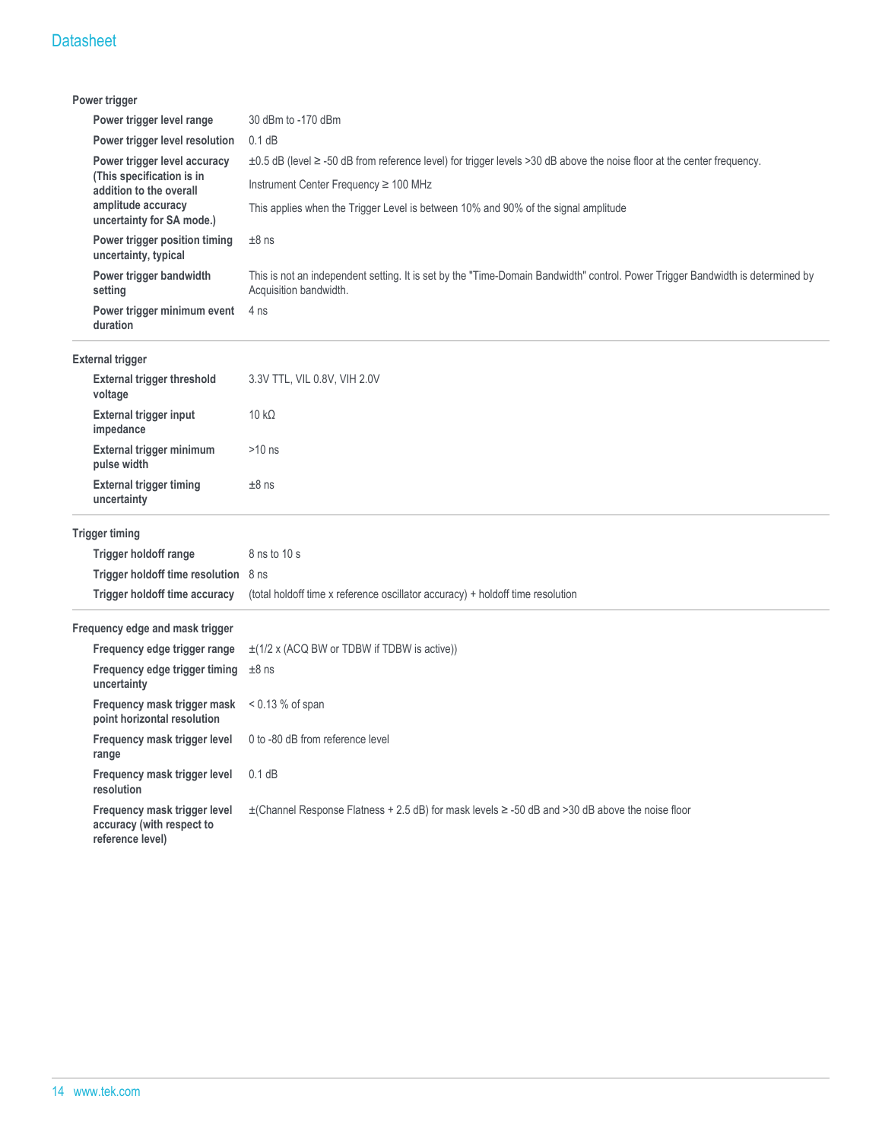| Power trigger                                                                           |                                                                                                                                                          |  |  |  |  |  |
|-----------------------------------------------------------------------------------------|----------------------------------------------------------------------------------------------------------------------------------------------------------|--|--|--|--|--|
| Power trigger level range                                                               | 30 dBm to -170 dBm                                                                                                                                       |  |  |  |  |  |
| Power trigger level resolution                                                          | $0.1$ dB                                                                                                                                                 |  |  |  |  |  |
| Power trigger level accuracy                                                            | ±0.5 dB (level ≥ -50 dB from reference level) for trigger levels >30 dB above the noise floor at the center frequency.                                   |  |  |  |  |  |
| (This specification is in<br>addition to the overall                                    | Instrument Center Frequency ≥ 100 MHz<br>This applies when the Trigger Level is between 10% and 90% of the signal amplitude                              |  |  |  |  |  |
| amplitude accuracy<br>uncertainty for SA mode.)                                         |                                                                                                                                                          |  |  |  |  |  |
| Power trigger position timing<br>uncertainty, typical                                   | $±8$ ns                                                                                                                                                  |  |  |  |  |  |
| Power trigger bandwidth<br>setting                                                      | This is not an independent setting. It is set by the "Time-Domain Bandwidth" control. Power Trigger Bandwidth is determined by<br>Acquisition bandwidth. |  |  |  |  |  |
| Power trigger minimum event<br>duration                                                 | 4 ns                                                                                                                                                     |  |  |  |  |  |
| <b>External trigger</b>                                                                 |                                                                                                                                                          |  |  |  |  |  |
| <b>External trigger threshold</b><br>voltage                                            | 3.3V TTL, VIL 0.8V, VIH 2.0V                                                                                                                             |  |  |  |  |  |
| <b>External trigger input</b><br>impedance                                              | $10 k\Omega$                                                                                                                                             |  |  |  |  |  |
| External trigger minimum<br>pulse width                                                 | $>10$ ns                                                                                                                                                 |  |  |  |  |  |
| <b>External trigger timing</b><br>uncertainty                                           | $±8$ ns                                                                                                                                                  |  |  |  |  |  |
| <b>Trigger timing</b>                                                                   |                                                                                                                                                          |  |  |  |  |  |
| Trigger holdoff range                                                                   | 8 ns to 10 s                                                                                                                                             |  |  |  |  |  |
| Trigger holdoff time resolution 8 ns                                                    |                                                                                                                                                          |  |  |  |  |  |
| Trigger holdoff time accuracy                                                           | (total holdoff time x reference oscillator accuracy) + holdoff time resolution                                                                           |  |  |  |  |  |
| Frequency edge and mask trigger                                                         |                                                                                                                                                          |  |  |  |  |  |
| Frequency edge trigger range                                                            | $\pm$ (1/2 x (ACQ BW or TDBW if TDBW is active))                                                                                                         |  |  |  |  |  |
| Frequency edge trigger timing<br>uncertainty                                            | $±8$ ns                                                                                                                                                  |  |  |  |  |  |
| <b>Frequency mask trigger mask</b> $\leq$ 0.13 % of span<br>point horizontal resolution |                                                                                                                                                          |  |  |  |  |  |
| Frequency mask trigger level 0 to -80 dB from reference level<br>range                  |                                                                                                                                                          |  |  |  |  |  |
| Frequency mask trigger level<br>resolution                                              | 0.1 dB                                                                                                                                                   |  |  |  |  |  |
| Frequency mask trigger level<br>accuracy (with respect to<br>reference level)           | $\pm$ (Channel Response Flatness + 2.5 dB) for mask levels $\ge$ -50 dB and >30 dB above the noise floor                                                 |  |  |  |  |  |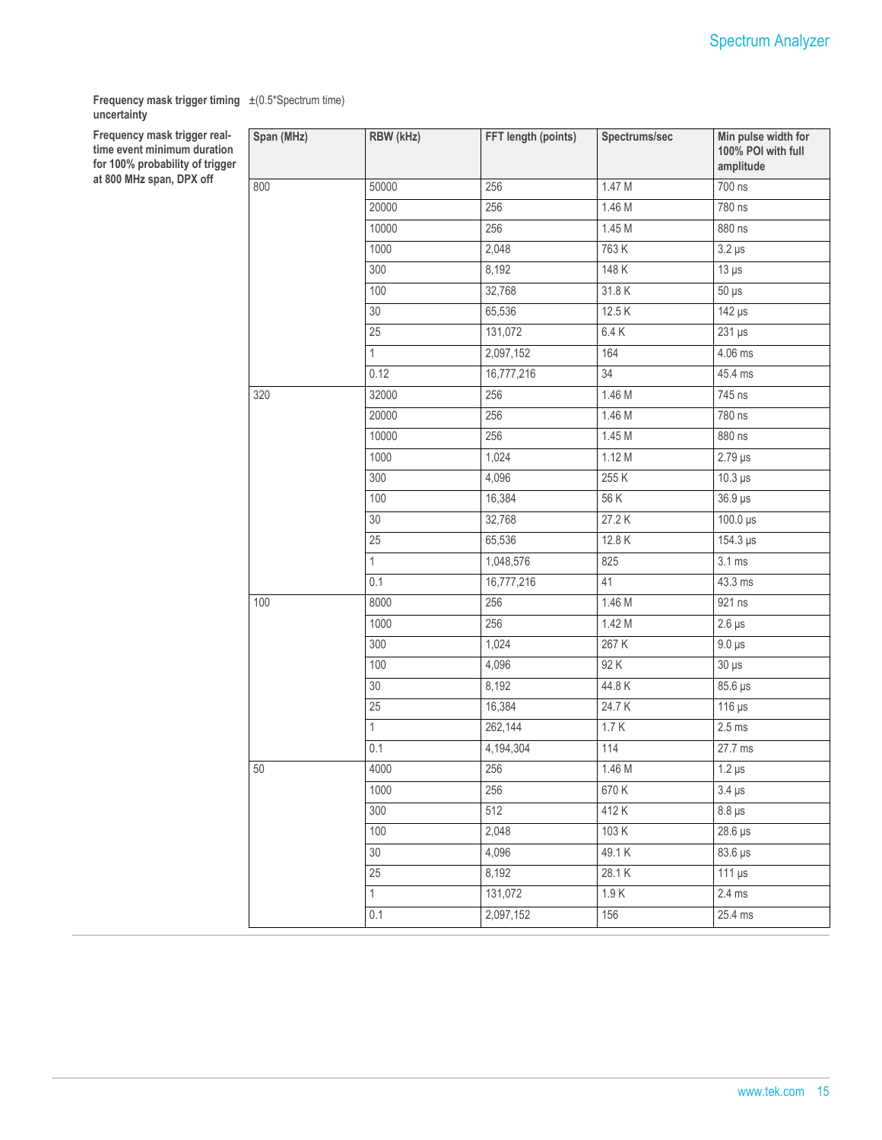**Frequency mask trigger timing** ±(0.5\*Spectrum time) **uncertainty**

**Frequency mask trigger realtime event minimum duration** for 100% probability of trigger **at 800 MHz span, DPX off**

| Span (MHz) | RBW (kHz)        | FFT length (points) | Spectrums/sec | Min pulse width for<br>100% POI with full<br>amplitude |
|------------|------------------|---------------------|---------------|--------------------------------------------------------|
| 800        | 50000            | 256                 | 1.47 M        | 700 ns                                                 |
|            | 20000            | 256                 | 1.46 M        | 780 ns                                                 |
|            | 10000            | 256                 | 1.45M         | 880 ns                                                 |
|            | 1000             | 2,048               | 763 K         | $3.2 \,\mu s$                                          |
|            | 300              | 8,192               | 148 K         | $13 \mu s$                                             |
|            | 100              | 32,768              | 31.8K         | $50 \mu s$                                             |
|            | 30               | 65,536              | 12.5K         | $142 \mu s$                                            |
|            | 25               | 131,072             | 6.4K          | $231 \,\mu s$                                          |
|            | $\mathbf{1}$     | 2,097,152           | 164           | 4.06 ms                                                |
|            | 0.12             | 16,777,216          | 34            | 45.4 ms                                                |
| 320        | 32000            | 256                 | 1.46 M        | 745 ns                                                 |
|            | 20000            | 256                 | 1.46 M        | 780 ns                                                 |
|            | 10000            | 256                 | 1.45 M        | 880 ns                                                 |
|            | 1000             | 1,024               | 1.12 M        | $2.79 \,\mu s$                                         |
|            | 300              | 4,096               | 255 K         | $10.3 \,\mu s$                                         |
|            | 100              | 16,384              | 56 K          | $36.9 \,\mu s$                                         |
|            | 30               | 32,768              | 27.2 K        | $100.0 \,\mathrm{\upmu s}$                             |
|            | 25               | 65,536              | 12.8K         | 154.3 µs                                               |
|            | 1                | 1,048,576           | 825           | $3.1 \text{ ms}$                                       |
|            | 0.1              | 16,777,216          | 41            | 43.3 ms                                                |
| 100        | 8000             | 256                 | 1.46 M        | 921 ns                                                 |
|            | 1000             | 256                 | 1.42M         | $2.6 \,\mu s$                                          |
|            | 300              | 1,024               | 267 K         | $9.0 \,\mu s$                                          |
|            | 100              | 4,096               | 92 K          | $30 \mu s$                                             |
|            | 30               | 8,192               | 44.8K         | 85.6 µs                                                |
|            | 25               | 16,384              | 24.7K         | $116 \mu s$                                            |
|            | $\mathbf{1}$     | 262,144             | 1.7K          | $2.5$ ms                                               |
|            | $\overline{0.1}$ | 4,194,304           | 114           | 27.7 ms                                                |
| 50         | 4000             | 256                 | 1.46 M        | $1.2 \,\mu s$                                          |
|            | 1000             | 256                 | 670 K         | $3.4 \,\mu s$                                          |
|            | 300              | 512                 | 412K          | $8.8 \,\mu s$                                          |
|            | 100              | 2,048               | 103 K         | $28.6 \,\mu s$                                         |
|            | 30               | 4,096               | 49.1K         | 83.6 µs                                                |
|            | 25               | 8,192               | 28.1 K        | $111 \,\mu s$                                          |
|            | $\mathbf{1}$     | 131,072             | 1.9K          | $2.4 \text{ ms}$                                       |
|            | 0.1              | 2,097,152           | 156           | 25.4 ms                                                |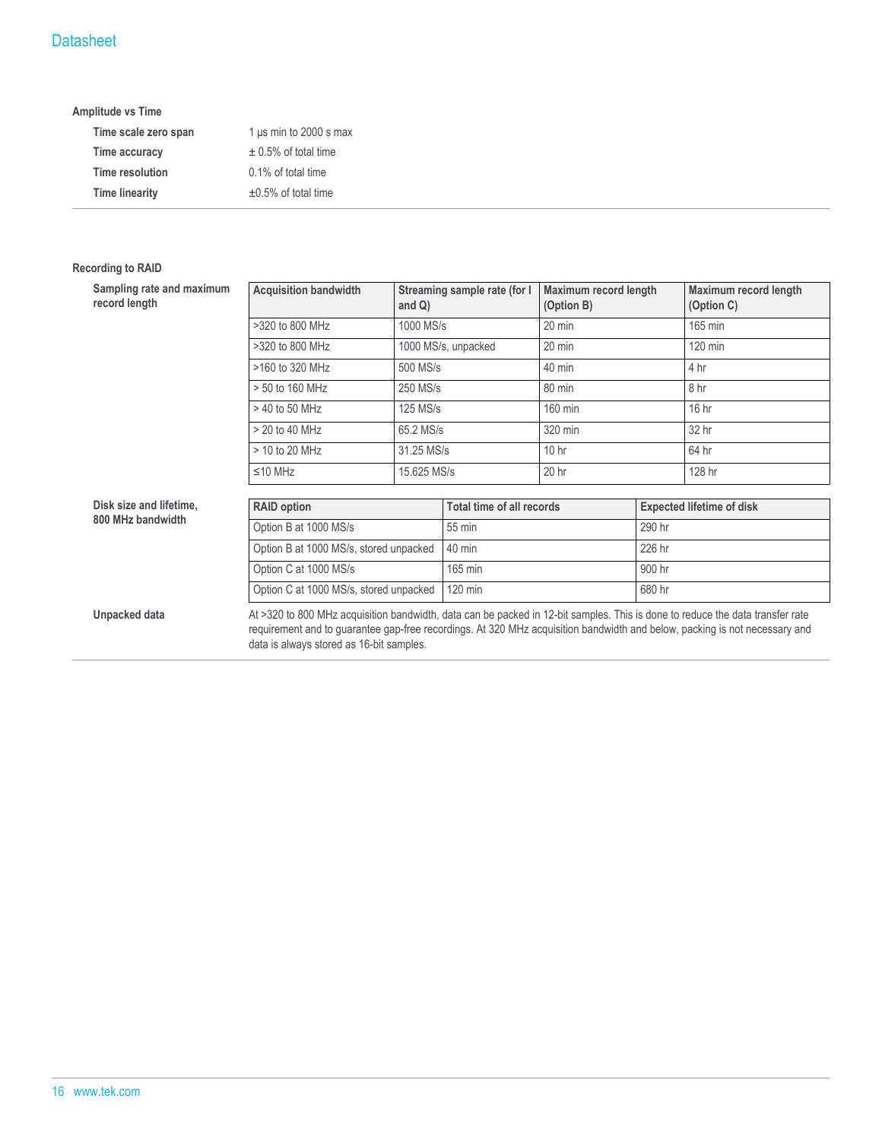#### **Amplitude vs Time**

| Time scale zero span  | 1 $\mu$ s min to 2000 s max |
|-----------------------|-----------------------------|
| Time accuracy         | $\pm$ 0.5% of total time    |
| Time resolution       | 0.1% of total time          |
| <b>Time linearity</b> | $\pm 0.5\%$ of total time   |

#### **Recording to RAID**

| Sampling rate and maximum<br>record length | <b>Acquisition bandwidth</b>                                                                                                                                                                                                                                                                            | and $Q$ )                                                         | Streaming sample rate (for I     | Maximum record length<br>(Option B) |        | Maximum record length<br>(Option C) |
|--------------------------------------------|---------------------------------------------------------------------------------------------------------------------------------------------------------------------------------------------------------------------------------------------------------------------------------------------------------|-------------------------------------------------------------------|----------------------------------|-------------------------------------|--------|-------------------------------------|
|                                            | >320 to 800 MHz                                                                                                                                                                                                                                                                                         | 1000 MS/s                                                         |                                  | $20$ min                            |        | 165 min                             |
|                                            | >320 to 800 MHz                                                                                                                                                                                                                                                                                         |                                                                   | 1000 MS/s, unpacked              | $20 \text{ min}$                    |        | 120 min                             |
|                                            | >160 to 320 MHz                                                                                                                                                                                                                                                                                         | 500 MS/s                                                          |                                  | $40 \text{ min}$                    |        | 4 hr                                |
|                                            | > 50 to 160 MHz                                                                                                                                                                                                                                                                                         | 250 MS/s                                                          |                                  | 80 min                              |        | 8 hr                                |
|                                            | > 40 to 50 MHz                                                                                                                                                                                                                                                                                          | 125 MS/s                                                          |                                  | 160 min                             |        | 16 hr                               |
|                                            | > 20 to 40 MHz                                                                                                                                                                                                                                                                                          |                                                                   | 320 min<br>65.2 MS/s             |                                     |        | 32 hr                               |
|                                            | > 10 to 20 MHz                                                                                                                                                                                                                                                                                          | 10 <sub>hr</sub><br>31.25 MS/s<br>20 <sub>hr</sub><br>15.625 MS/s |                                  |                                     |        | 64 hr                               |
|                                            | $≤10$ MHz                                                                                                                                                                                                                                                                                               |                                                                   |                                  |                                     |        | 128 hr                              |
| Disk size and lifetime,                    | <b>RAID option</b>                                                                                                                                                                                                                                                                                      |                                                                   | <b>Total time of all records</b> |                                     |        | <b>Expected lifetime of disk</b>    |
| 800 MHz bandwidth                          |                                                                                                                                                                                                                                                                                                         |                                                                   |                                  |                                     |        |                                     |
|                                            | Option B at 1000 MS/s                                                                                                                                                                                                                                                                                   |                                                                   | 55 min                           |                                     | 290 hr |                                     |
|                                            | Option B at 1000 MS/s, stored unpacked                                                                                                                                                                                                                                                                  |                                                                   | 40 min                           |                                     | 226 hr |                                     |
|                                            | Option C at 1000 MS/s                                                                                                                                                                                                                                                                                   |                                                                   | 165 min                          |                                     | 900 hr |                                     |
|                                            |                                                                                                                                                                                                                                                                                                         | Option C at 1000 MS/s, stored unpacked                            |                                  |                                     | 680 hr |                                     |
| Unpacked data                              | At >320 to 800 MHz acquisition bandwidth, data can be packed in 12-bit samples. This is done to reduce the data transfer rate<br>requirement and to guarantee gap-free recordings. At 320 MHz acquisition bandwidth and below, packing is not necessary and<br>data is always stored as 16-bit samples. |                                                                   |                                  |                                     |        |                                     |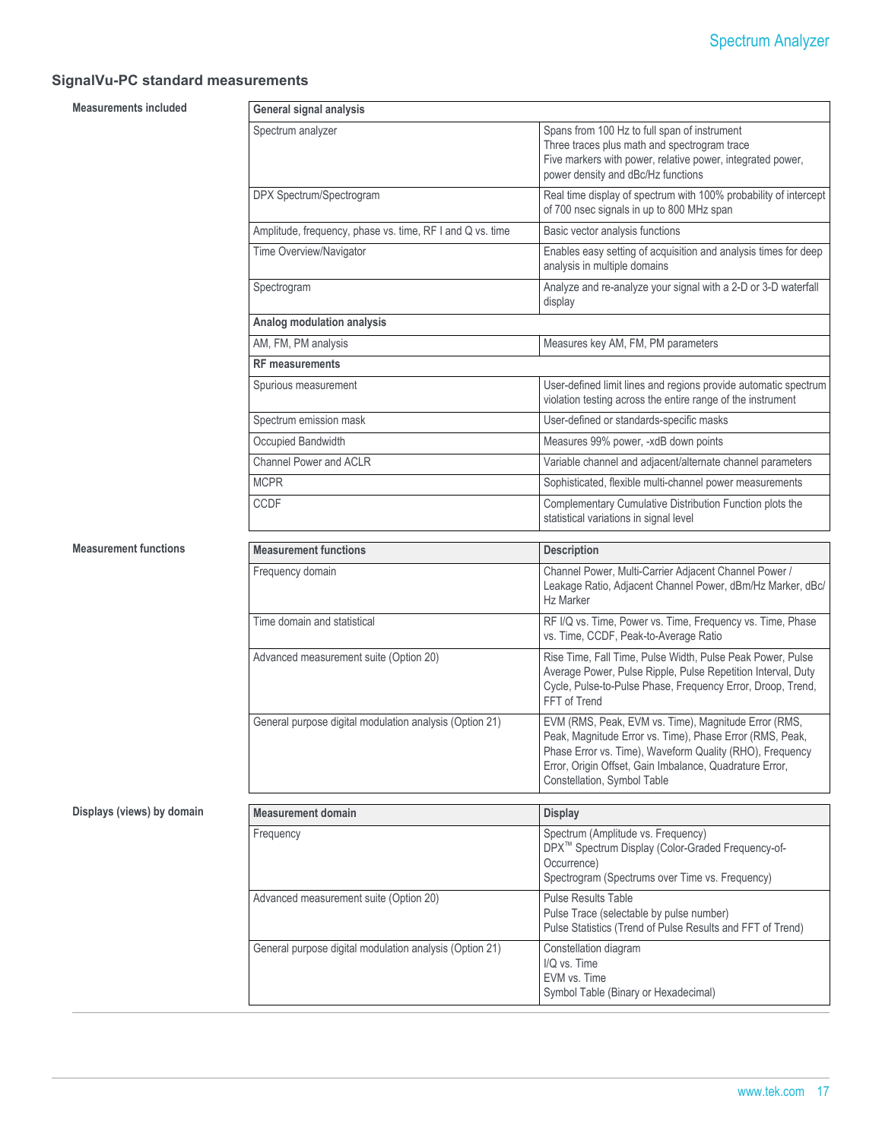## **SignalVu-PC standard measurements**

**Measurements included** 

| General signal analysis                                   |                                                                                                                                                                                                                                                                        |
|-----------------------------------------------------------|------------------------------------------------------------------------------------------------------------------------------------------------------------------------------------------------------------------------------------------------------------------------|
| Spectrum analyzer                                         | Spans from 100 Hz to full span of instrument<br>Three traces plus math and spectrogram trace<br>Five markers with power, relative power, integrated power,<br>power density and dBc/Hz functions                                                                       |
| DPX Spectrum/Spectrogram                                  | Real time display of spectrum with 100% probability of intercept<br>of 700 nsec signals in up to 800 MHz span                                                                                                                                                          |
| Amplitude, frequency, phase vs. time, RF I and Q vs. time | Basic vector analysis functions                                                                                                                                                                                                                                        |
| Time Overview/Navigator                                   | Enables easy setting of acquisition and analysis times for deep<br>analysis in multiple domains                                                                                                                                                                        |
| Spectrogram                                               | Analyze and re-analyze your signal with a 2-D or 3-D waterfall<br>display                                                                                                                                                                                              |
| Analog modulation analysis                                |                                                                                                                                                                                                                                                                        |
| AM, FM, PM analysis                                       | Measures key AM, FM, PM parameters                                                                                                                                                                                                                                     |
| <b>RF</b> measurements                                    |                                                                                                                                                                                                                                                                        |
| Spurious measurement                                      | User-defined limit lines and regions provide automatic spectrum<br>violation testing across the entire range of the instrument                                                                                                                                         |
| Spectrum emission mask                                    | User-defined or standards-specific masks                                                                                                                                                                                                                               |
| Occupied Bandwidth                                        | Measures 99% power, -xdB down points                                                                                                                                                                                                                                   |
| <b>Channel Power and ACLR</b>                             | Variable channel and adjacent/alternate channel parameters                                                                                                                                                                                                             |
| <b>MCPR</b>                                               | Sophisticated, flexible multi-channel power measurements                                                                                                                                                                                                               |
| <b>CCDF</b>                                               | Complementary Cumulative Distribution Function plots the<br>statistical variations in signal level                                                                                                                                                                     |
|                                                           |                                                                                                                                                                                                                                                                        |
| <b>Measurement functions</b>                              | <b>Description</b>                                                                                                                                                                                                                                                     |
| Frequency domain                                          | Channel Power, Multi-Carrier Adjacent Channel Power /<br>Leakage Ratio, Adjacent Channel Power, dBm/Hz Marker, dBc/<br><b>Hz Marker</b>                                                                                                                                |
| Time domain and statistical                               | RF I/Q vs. Time, Power vs. Time, Frequency vs. Time, Phase<br>vs. Time, CCDF, Peak-to-Average Ratio                                                                                                                                                                    |
| Advanced measurement suite (Option 20)                    | Rise Time, Fall Time, Pulse Width, Pulse Peak Power, Pulse<br>Average Power, Pulse Ripple, Pulse Repetition Interval, Duty<br>Cycle, Pulse-to-Pulse Phase, Frequency Error, Droop, Trend,<br>FFT of Trend                                                              |
| General purpose digital modulation analysis (Option 21)   | EVM (RMS, Peak, EVM vs. Time), Magnitude Error (RMS,<br>Peak, Magnitude Error vs. Time), Phase Error (RMS, Peak,<br>Phase Error vs. Time), Waveform Quality (RHO), Frequency<br>Error, Origin Offset, Gain Imbalance, Quadrature Error,<br>Constellation, Symbol Table |
| <b>Measurement domain</b>                                 | <b>Display</b>                                                                                                                                                                                                                                                         |
| Frequency                                                 | Spectrum (Amplitude vs. Frequency)<br>DPX <sup>™</sup> Spectrum Display (Color-Graded Frequency-of-<br>Occurrence)<br>Spectrogram (Spectrums over Time vs. Frequency)                                                                                                  |
| Advanced measurement suite (Option 20)                    | Pulse Results Table<br>Pulse Trace (selectable by pulse number)<br>Pulse Statistics (Trend of Pulse Results and FFT of Trend)                                                                                                                                          |

#### **Displays (views) by domain**

**Measurement functions**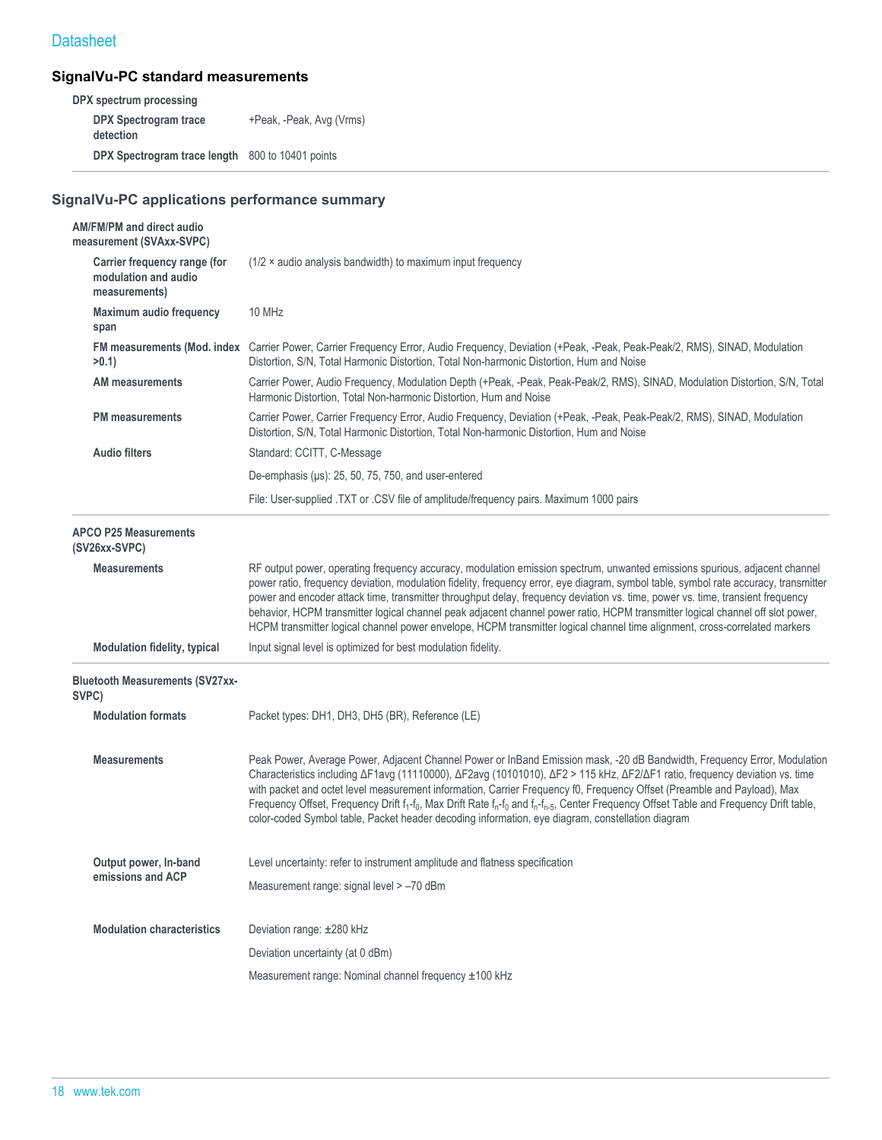#### **SignalVu-PC standard measurements**

**DPX spectrum processing DPX Spectrogram trace detection** +Peak, -Peak, Avg (Vrms) **DPX Spectrogram trace length** 800 to 10401 points

## **SignalVu-PC applications performance summary**

| AM/FM/PM and direct audio<br>measurement (SVAxx-SVPC)                 |                                                                                                                                                                                                                                                                                                                                                                                                                                                                                                                                                                                                                                                                                                                         |  |  |
|-----------------------------------------------------------------------|-------------------------------------------------------------------------------------------------------------------------------------------------------------------------------------------------------------------------------------------------------------------------------------------------------------------------------------------------------------------------------------------------------------------------------------------------------------------------------------------------------------------------------------------------------------------------------------------------------------------------------------------------------------------------------------------------------------------------|--|--|
| Carrier frequency range (for<br>modulation and audio<br>measurements) | $(1/2 \times$ audio analysis bandwidth) to maximum input frequency                                                                                                                                                                                                                                                                                                                                                                                                                                                                                                                                                                                                                                                      |  |  |
| Maximum audio frequency<br>span                                       | 10 MHz                                                                                                                                                                                                                                                                                                                                                                                                                                                                                                                                                                                                                                                                                                                  |  |  |
| $>0.1$ )                                                              | FM measurements (Mod. index Carrier Power, Carrier Frequency Error, Audio Frequency, Deviation (+Peak, -Peak, Peak-Peak/2, RMS), SINAD, Modulation<br>Distortion, S/N, Total Harmonic Distortion, Total Non-harmonic Distortion, Hum and Noise                                                                                                                                                                                                                                                                                                                                                                                                                                                                          |  |  |
| <b>AM measurements</b>                                                | Carrier Power, Audio Frequency, Modulation Depth (+Peak, -Peak, Peak-Peak/2, RMS), SINAD, Modulation Distortion, S/N, Total<br>Harmonic Distortion, Total Non-harmonic Distortion, Hum and Noise                                                                                                                                                                                                                                                                                                                                                                                                                                                                                                                        |  |  |
| <b>PM</b> measurements                                                | Carrier Power, Carrier Frequency Error, Audio Frequency, Deviation (+Peak, -Peak, Peak-Peak/2, RMS), SINAD, Modulation<br>Distortion, S/N, Total Harmonic Distortion, Total Non-harmonic Distortion, Hum and Noise                                                                                                                                                                                                                                                                                                                                                                                                                                                                                                      |  |  |
| <b>Audio filters</b>                                                  | Standard: CCITT, C-Message                                                                                                                                                                                                                                                                                                                                                                                                                                                                                                                                                                                                                                                                                              |  |  |
|                                                                       | De-emphasis (µs): 25, 50, 75, 750, and user-entered                                                                                                                                                                                                                                                                                                                                                                                                                                                                                                                                                                                                                                                                     |  |  |
|                                                                       | File: User-supplied .TXT or .CSV file of amplitude/frequency pairs. Maximum 1000 pairs                                                                                                                                                                                                                                                                                                                                                                                                                                                                                                                                                                                                                                  |  |  |
| <b>APCO P25 Measurements</b><br>(SV26xx-SVPC)                         |                                                                                                                                                                                                                                                                                                                                                                                                                                                                                                                                                                                                                                                                                                                         |  |  |
| <b>Measurements</b>                                                   | RF output power, operating frequency accuracy, modulation emission spectrum, unwanted emissions spurious, adjacent channel<br>power ratio, frequency deviation, modulation fidelity, frequency error, eye diagram, symbol table, symbol rate accuracy, transmitter<br>power and encoder attack time, transmitter throughput delay, frequency deviation vs. time, power vs. time, transient frequency<br>behavior, HCPM transmitter logical channel peak adjacent channel power ratio, HCPM transmitter logical channel off slot power,<br>HCPM transmitter logical channel power envelope, HCPM transmitter logical channel time alignment, cross-correlated markers                                                    |  |  |
| <b>Modulation fidelity, typical</b>                                   | Input signal level is optimized for best modulation fidelity.                                                                                                                                                                                                                                                                                                                                                                                                                                                                                                                                                                                                                                                           |  |  |
| <b>Bluetooth Measurements (SV27xx-</b><br>SVPC)                       |                                                                                                                                                                                                                                                                                                                                                                                                                                                                                                                                                                                                                                                                                                                         |  |  |
| <b>Modulation formats</b>                                             | Packet types: DH1, DH3, DH5 (BR), Reference (LE)                                                                                                                                                                                                                                                                                                                                                                                                                                                                                                                                                                                                                                                                        |  |  |
| <b>Measurements</b>                                                   | Peak Power, Average Power, Adjacent Channel Power or InBand Emission mask, -20 dB Bandwidth, Frequency Error, Modulation<br>Characteristics including $\Delta$ F1avg (11110000), $\Delta$ F2avg (10101010), $\Delta$ F2 > 115 kHz, $\Delta$ F2/ $\Delta$ F1 ratio, frequency deviation vs. time<br>with packet and octet level measurement information, Carrier Frequency f0, Frequency Offset (Preamble and Payload), Max<br>Frequency Offset, Frequency Drift $f_1$ -f <sub>0</sub> , Max Drift Rate $f_n$ -f <sub>0</sub> and $f_n$ -f <sub>n-5</sub> , Center Frequency Offset Table and Frequency Drift table,<br>color-coded Symbol table, Packet header decoding information, eye diagram, constellation diagram |  |  |
| Output power, In-band                                                 | Level uncertainty: refer to instrument amplitude and flatness specification                                                                                                                                                                                                                                                                                                                                                                                                                                                                                                                                                                                                                                             |  |  |
| emissions and ACP                                                     | Measurement range: signal level > -70 dBm                                                                                                                                                                                                                                                                                                                                                                                                                                                                                                                                                                                                                                                                               |  |  |
| <b>Modulation characteristics</b>                                     | Deviation range: ±280 kHz                                                                                                                                                                                                                                                                                                                                                                                                                                                                                                                                                                                                                                                                                               |  |  |
|                                                                       | Deviation uncertainty (at 0 dBm)                                                                                                                                                                                                                                                                                                                                                                                                                                                                                                                                                                                                                                                                                        |  |  |
|                                                                       | Measurement range: Nominal channel frequency ±100 kHz                                                                                                                                                                                                                                                                                                                                                                                                                                                                                                                                                                                                                                                                   |  |  |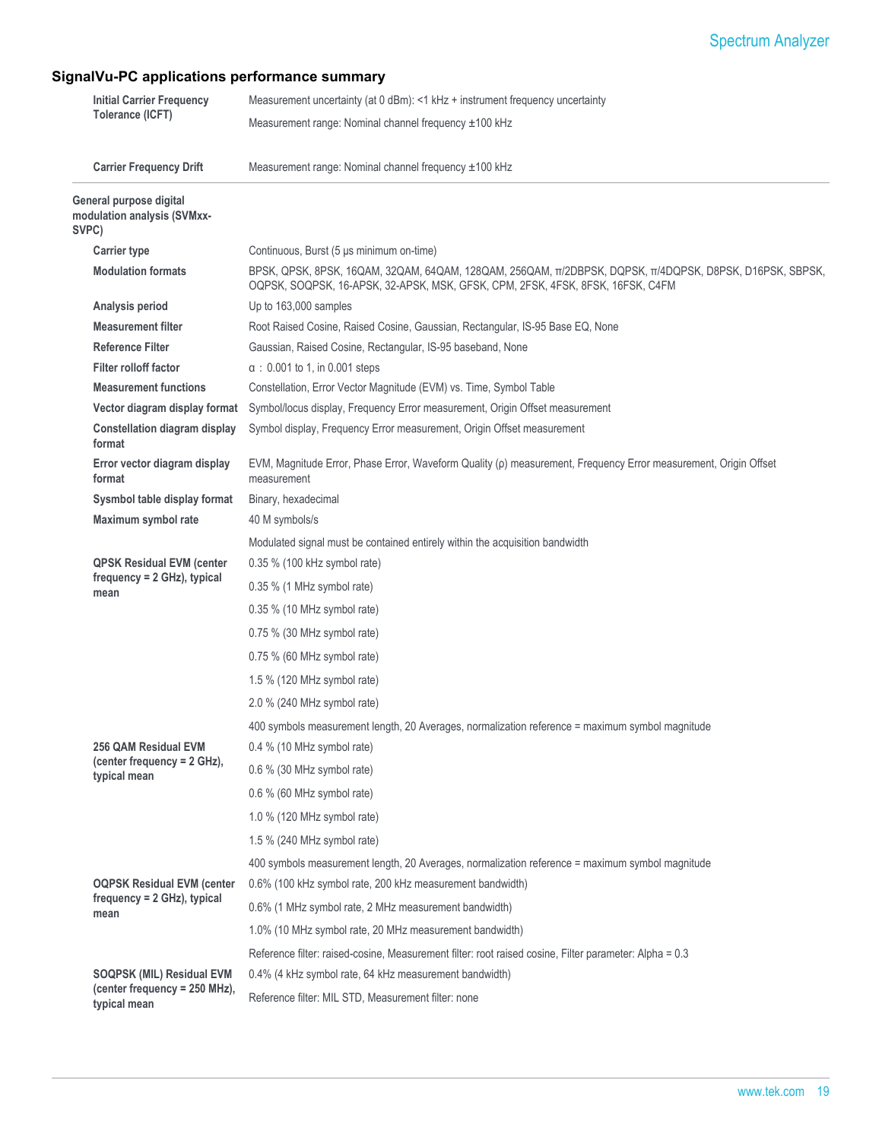## **SignalVu-PC applications performance summary**

| <b>Initial Carrier Frequency</b> | Measurement uncertainty (at 0 dBm): <1 kHz + instrument frequency uncertainty |                                                                                                                                                                                             |  |
|----------------------------------|-------------------------------------------------------------------------------|---------------------------------------------------------------------------------------------------------------------------------------------------------------------------------------------|--|
| Tolerance (ICFT)                 |                                                                               | Measurement range: Nominal channel frequency ±100 kHz                                                                                                                                       |  |
|                                  |                                                                               |                                                                                                                                                                                             |  |
|                                  | <b>Carrier Frequency Drift</b>                                                | Measurement range: Nominal channel frequency ±100 kHz                                                                                                                                       |  |
|                                  | General purpose digital<br>modulation analysis (SVMxx-<br>SVPC)               |                                                                                                                                                                                             |  |
|                                  | <b>Carrier type</b>                                                           | Continuous, Burst (5 µs minimum on-time)                                                                                                                                                    |  |
|                                  | <b>Modulation formats</b>                                                     | BPSK, QPSK, 8PSK, 16QAM, 32QAM, 64QAM, 128QAM, 256QAM, TI/2DBPSK, DQPSK, TI/4DQPSK, D8PSK, D16PSK, SBPSK,<br>OQPSK, SOQPSK, 16-APSK, 32-APSK, MSK, GFSK, CPM, 2FSK, 4FSK, 8FSK, 16FSK, C4FM |  |
|                                  | Analysis period                                                               | Up to 163,000 samples                                                                                                                                                                       |  |
|                                  | <b>Measurement filter</b>                                                     | Root Raised Cosine, Raised Cosine, Gaussian, Rectangular, IS-95 Base EQ, None                                                                                                               |  |
|                                  | <b>Reference Filter</b>                                                       | Gaussian, Raised Cosine, Rectangular, IS-95 baseband, None                                                                                                                                  |  |
|                                  | Filter rolloff factor                                                         | $\alpha$ : 0.001 to 1, in 0.001 steps                                                                                                                                                       |  |
|                                  | <b>Measurement functions</b>                                                  | Constellation, Error Vector Magnitude (EVM) vs. Time, Symbol Table                                                                                                                          |  |
|                                  | Vector diagram display format                                                 | Symbol/locus display, Frequency Error measurement, Origin Offset measurement                                                                                                                |  |
|                                  | <b>Constellation diagram display</b><br>format                                | Symbol display, Frequency Error measurement, Origin Offset measurement                                                                                                                      |  |
|                                  | Error vector diagram display<br>format                                        | EVM, Magnitude Error, Phase Error, Waveform Quality (p) measurement, Frequency Error measurement, Origin Offset<br>measurement                                                              |  |
|                                  | Sysmbol table display format                                                  | Binary, hexadecimal                                                                                                                                                                         |  |
|                                  | Maximum symbol rate                                                           | 40 M symbols/s                                                                                                                                                                              |  |
|                                  |                                                                               | Modulated signal must be contained entirely within the acquisition bandwidth                                                                                                                |  |
|                                  | <b>QPSK Residual EVM (center</b>                                              | 0.35 % (100 kHz symbol rate)                                                                                                                                                                |  |
|                                  | frequency = 2 GHz), typical<br>mean                                           | 0.35 % (1 MHz symbol rate)                                                                                                                                                                  |  |
|                                  |                                                                               | $0.35\%$ (10 MHz symbol rate)                                                                                                                                                               |  |
|                                  |                                                                               | $0.75\%$ (30 MHz symbol rate)                                                                                                                                                               |  |
|                                  |                                                                               | $0.75\%$ (60 MHz symbol rate)                                                                                                                                                               |  |
|                                  |                                                                               | 1.5 % (120 MHz symbol rate)                                                                                                                                                                 |  |
|                                  |                                                                               | 2.0 % (240 MHz symbol rate)                                                                                                                                                                 |  |
|                                  |                                                                               |                                                                                                                                                                                             |  |
|                                  | 256 QAM Residual EVM                                                          | 400 symbols measurement length, 20 Averages, normalization reference = maximum symbol magnitude<br>0.4 % (10 MHz symbol rate)                                                               |  |
|                                  | (center frequency = 2 GHz),                                                   |                                                                                                                                                                                             |  |
|                                  | typical mean                                                                  | 0.6 % (30 MHz symbol rate)<br>0.6 % (60 MHz symbol rate)                                                                                                                                    |  |
|                                  |                                                                               | 1.0 % (120 MHz symbol rate)                                                                                                                                                                 |  |
|                                  |                                                                               |                                                                                                                                                                                             |  |
|                                  |                                                                               | 1.5 % (240 MHz symbol rate)                                                                                                                                                                 |  |
|                                  |                                                                               | 400 symbols measurement length, 20 Averages, normalization reference = maximum symbol magnitude                                                                                             |  |
|                                  | <b>OQPSK Residual EVM (center</b><br>$frequency = 2 GHz$ , typical            | 0.6% (100 kHz symbol rate, 200 kHz measurement bandwidth)                                                                                                                                   |  |
|                                  | mean                                                                          | 0.6% (1 MHz symbol rate, 2 MHz measurement bandwidth)                                                                                                                                       |  |
|                                  |                                                                               | 1.0% (10 MHz symbol rate, 20 MHz measurement bandwidth)                                                                                                                                     |  |
|                                  |                                                                               | Reference filter: raised-cosine, Measurement filter: root raised cosine, Filter parameter: Alpha = 0.3                                                                                      |  |
|                                  | <b>SOQPSK (MIL) Residual EVM</b>                                              | 0.4% (4 kHz symbol rate, 64 kHz measurement bandwidth)                                                                                                                                      |  |
|                                  | (center frequency = 250 MHz),<br>typical mean                                 | Reference filter: MIL STD, Measurement filter: none                                                                                                                                         |  |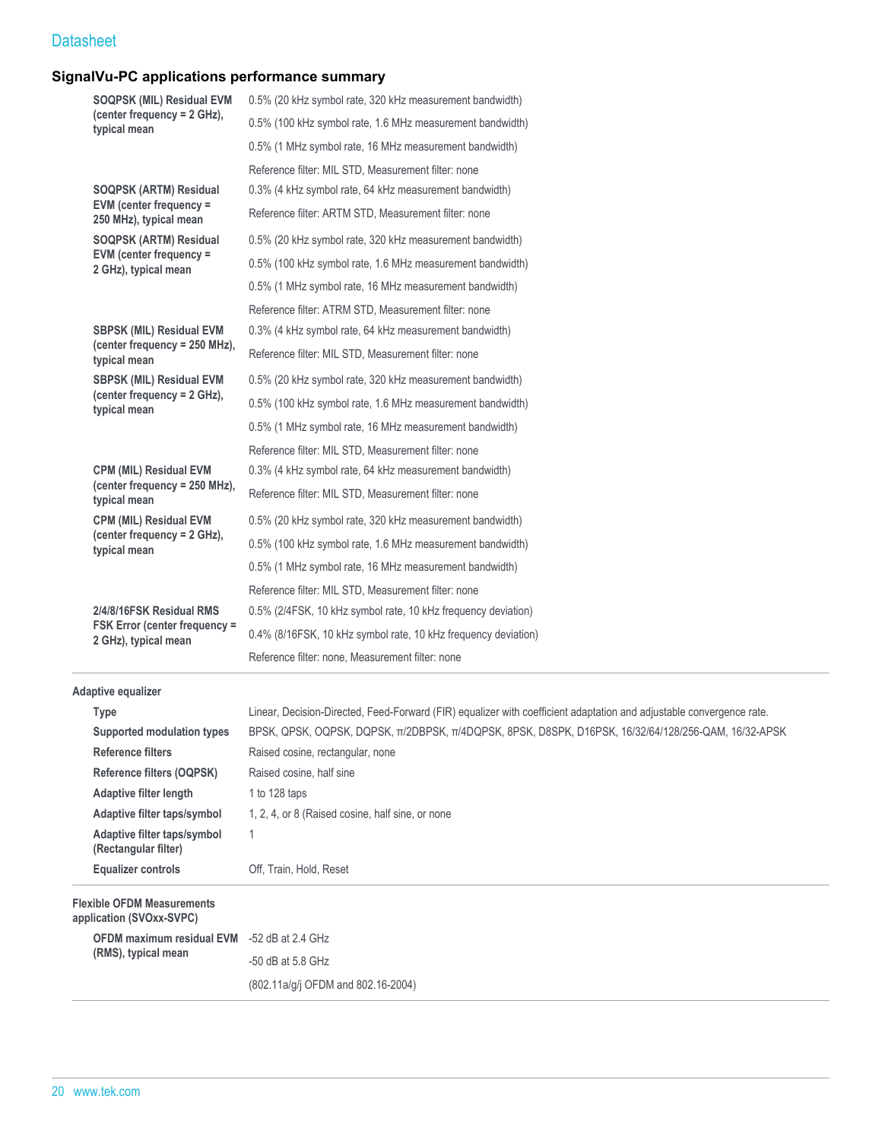#### **SignalVu-PC applications performance summary**

| <b>SOQPSK (MIL) Residual EVM</b><br>(center frequency = 2 GHz),<br>typical mean |                                                              | 0.5% (20 kHz symbol rate, 320 kHz measurement bandwidth)                                                             |
|---------------------------------------------------------------------------------|--------------------------------------------------------------|----------------------------------------------------------------------------------------------------------------------|
|                                                                                 |                                                              | 0.5% (100 kHz symbol rate, 1.6 MHz measurement bandwidth)                                                            |
|                                                                                 |                                                              | 0.5% (1 MHz symbol rate, 16 MHz measurement bandwidth)                                                               |
|                                                                                 |                                                              | Reference filter: MIL STD, Measurement filter: none                                                                  |
| <b>SOQPSK (ARTM) Residual</b>                                                   |                                                              | 0.3% (4 kHz symbol rate, 64 kHz measurement bandwidth)                                                               |
|                                                                                 | EVM (center frequency =<br>250 MHz), typical mean            | Reference filter: ARTM STD, Measurement filter: none                                                                 |
|                                                                                 | <b>SOQPSK (ARTM) Residual</b>                                | 0.5% (20 kHz symbol rate, 320 kHz measurement bandwidth)                                                             |
|                                                                                 | EVM (center frequency =<br>2 GHz), typical mean              | 0.5% (100 kHz symbol rate, 1.6 MHz measurement bandwidth)                                                            |
|                                                                                 |                                                              | 0.5% (1 MHz symbol rate, 16 MHz measurement bandwidth)                                                               |
|                                                                                 |                                                              | Reference filter: ATRM STD, Measurement filter: none                                                                 |
|                                                                                 | <b>SBPSK (MIL) Residual EVM</b>                              | 0.3% (4 kHz symbol rate, 64 kHz measurement bandwidth)                                                               |
|                                                                                 | (center frequency = 250 MHz),<br>typical mean                | Reference filter: MIL STD, Measurement filter: none                                                                  |
|                                                                                 | <b>SBPSK (MIL) Residual EVM</b>                              | 0.5% (20 kHz symbol rate, 320 kHz measurement bandwidth)                                                             |
|                                                                                 | (center frequency = 2 GHz),<br>typical mean                  | 0.5% (100 kHz symbol rate, 1.6 MHz measurement bandwidth)                                                            |
|                                                                                 |                                                              | 0.5% (1 MHz symbol rate, 16 MHz measurement bandwidth)                                                               |
|                                                                                 |                                                              | Reference filter: MIL STD, Measurement filter: none                                                                  |
|                                                                                 | <b>CPM (MIL) Residual EVM</b>                                | 0.3% (4 kHz symbol rate, 64 kHz measurement bandwidth)                                                               |
|                                                                                 | (center frequency = 250 MHz),<br>typical mean                | Reference filter: MIL STD, Measurement filter: none                                                                  |
|                                                                                 | <b>CPM (MIL) Residual EVM</b>                                | 0.5% (20 kHz symbol rate, 320 kHz measurement bandwidth)                                                             |
|                                                                                 | (center frequency = 2 GHz),<br>typical mean                  | 0.5% (100 kHz symbol rate, 1.6 MHz measurement bandwidth)                                                            |
|                                                                                 |                                                              | 0.5% (1 MHz symbol rate, 16 MHz measurement bandwidth)                                                               |
|                                                                                 |                                                              | Reference filter: MIL STD, Measurement filter: none                                                                  |
|                                                                                 | 2/4/8/16FSK Residual RMS                                     | 0.5% (2/4FSK, 10 kHz symbol rate, 10 kHz frequency deviation)                                                        |
|                                                                                 | <b>FSK Error (center frequency =</b><br>2 GHz), typical mean | 0.4% (8/16FSK, 10 kHz symbol rate, 10 kHz frequency deviation)                                                       |
|                                                                                 |                                                              | Reference filter: none, Measurement filter: none                                                                     |
|                                                                                 | <b>Adaptive equalizer</b>                                    |                                                                                                                      |
|                                                                                 | <b>Type</b>                                                  | Linear, Decision-Directed, Feed-Forward (FIR) equalizer with coefficient adaptation and adjustable convergence rate. |
|                                                                                 | Supported modulation types                                   | BPSK, QPSK, OQPSK, DQPSK, T/2DBPSK, T/4DQPSK, 8PSK, D8SPK, D16PSK, 16/32/64/128/256-QAM, 16/32-APSK                  |
|                                                                                 | <b>Reference filters</b>                                     | Raised cosine, rectangular, none                                                                                     |
|                                                                                 | Reference filters (OQPSK)                                    | Raised cosine, half sine                                                                                             |
|                                                                                 | Adaptive filter length                                       | 1 to 128 taps                                                                                                        |
|                                                                                 | Adaptive filter taps/symbol                                  | 1, 2, 4, or 8 (Raised cosine, half sine, or none                                                                     |

**Equalizer controls** Off, Train, Hold, Reset

## **Flexible OFDM Measurements application (SVOxx-SVPC) OFDM maximum residual EVM** -52 dB at 2.4 GHz

**Adaptive filter taps/symbol (Rectangular filter)**

**(RMS), typical mean** -50 dB at 5.8 GHz (802.11a/g/j OFDM and 802.16-2004)

1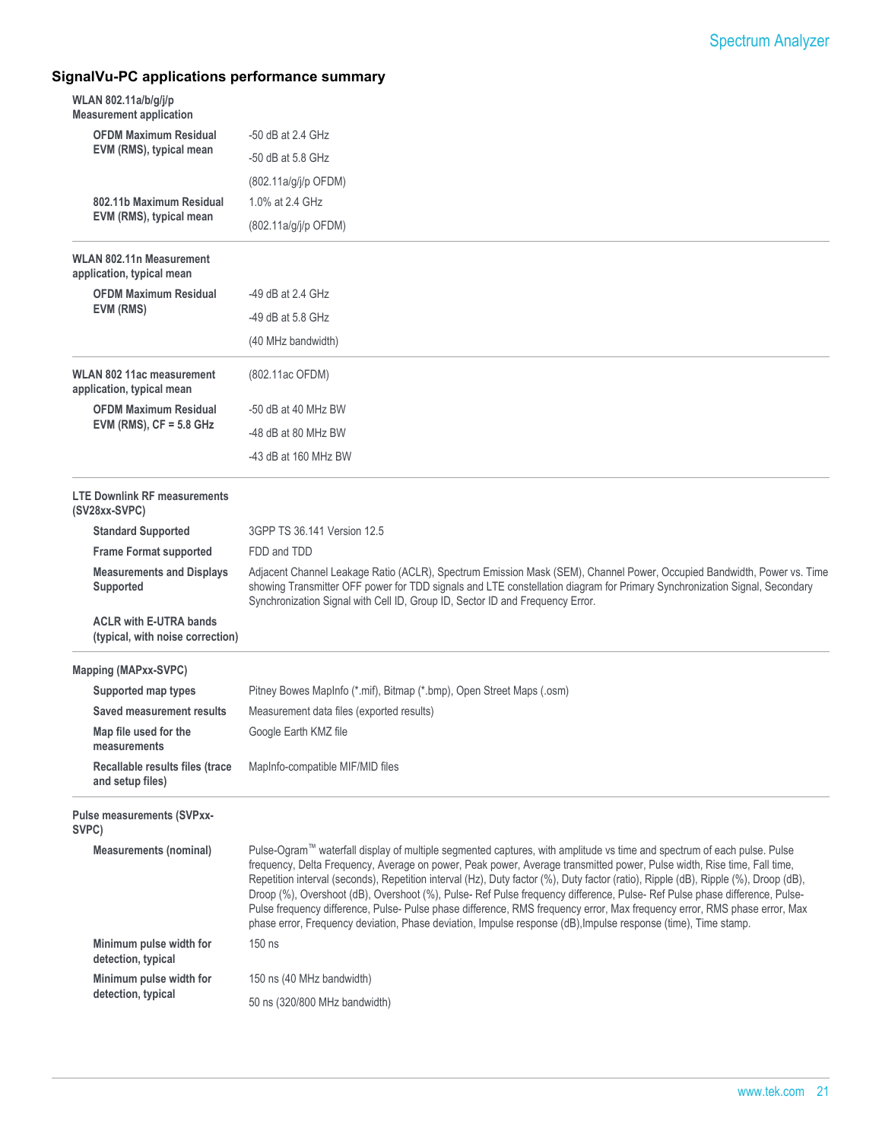## **SignalVu-PC applications performance summary**

| <b>OFDM Maximum Residual</b><br>$-50$ dB at 2.4 GHz<br>EVM (RMS), typical mean<br>$-50$ dB at 5.8 GHz<br>$(802.11a/g/j/p$ OFDM)<br>802.11b Maximum Residual<br>1.0% at 2.4 GHz<br>EVM (RMS), typical mean<br>(802.11a/g/j/p OFDM)<br><b>WLAN 802.11n Measurement</b><br>application, typical mean<br><b>OFDM Maximum Residual</b><br>-49 dB at $2.4$ GHz<br>EVM (RMS)<br>$-49$ dB at 5.8 GHz<br>(40 MHz bandwidth)<br><b>WLAN 802 11ac measurement</b><br>(802.11ac OFDM)<br>application, typical mean<br><b>OFDM Maximum Residual</b><br>-50 dB at 40 MHz BW<br>EVM (RMS), $CF = 5.8$ GHz<br>-48 dB at 80 MHz BW<br>-43 dB at 160 MHz BW<br><b>LTE Downlink RF measurements</b><br>(SV28xx-SVPC)<br><b>Standard Supported</b><br>3GPP TS 36.141 Version 12.5<br><b>Frame Format supported</b><br>FDD and TDD<br>Adjacent Channel Leakage Ratio (ACLR), Spectrum Emission Mask (SEM), Channel Power, Occupied Bandwidth, Power vs. Time<br><b>Measurements and Displays</b><br>showing Transmitter OFF power for TDD signals and LTE constellation diagram for Primary Synchronization Signal, Secondary<br>Supported<br>Synchronization Signal with Cell ID, Group ID, Sector ID and Frequency Error.<br><b>ACLR with E-UTRA bands</b><br>(typical, with noise correction)<br><b>Mapping (MAPxx-SVPC)</b><br>Pitney Bowes MapInfo (*.mif), Bitmap (*.bmp), Open Street Maps (.osm)<br>Supported map types<br>Saved measurement results<br>Measurement data files (exported results)<br>Map file used for the<br>Google Earth KMZ file<br>measurements<br>Recallable results files (trace<br>MapInfo-compatible MIF/MID files<br>and setup files)<br>Pulse measurements (SVPxx-<br>SVPC)<br>Pulse-Ogram™ waterfall display of multiple segmented captures, with amplitude vs time and spectrum of each pulse. Pulse<br><b>Measurements (nominal)</b><br>frequency, Delta Frequency, Average on power, Peak power, Average transmitted power, Pulse width, Rise time, Fall time,<br>Repetition interval (seconds), Repetition interval (Hz), Duty factor (%), Duty factor (ratio), Ripple (dB), Ripple (%), Droop (dB),<br>Droop (%), Overshoot (dB), Overshoot (%), Pulse-Ref Pulse frequency difference, Pulse-Ref Pulse phase difference, Pulse-<br>Pulse frequency difference, Pulse-Pulse phase difference, RMS frequency error, Max frequency error, RMS phase error, Max<br>phase error, Frequency deviation, Phase deviation, Impulse response (dB), Impulse response (time), Time stamp.<br>Minimum pulse width for<br>$150$ ns<br>detection, typical<br>Minimum pulse width for<br>150 ns (40 MHz bandwidth)<br>detection, typical<br>50 ns (320/800 MHz bandwidth) | WLAN 802.11a/b/g/j/p<br><b>Measurement application</b> |  |
|------------------------------------------------------------------------------------------------------------------------------------------------------------------------------------------------------------------------------------------------------------------------------------------------------------------------------------------------------------------------------------------------------------------------------------------------------------------------------------------------------------------------------------------------------------------------------------------------------------------------------------------------------------------------------------------------------------------------------------------------------------------------------------------------------------------------------------------------------------------------------------------------------------------------------------------------------------------------------------------------------------------------------------------------------------------------------------------------------------------------------------------------------------------------------------------------------------------------------------------------------------------------------------------------------------------------------------------------------------------------------------------------------------------------------------------------------------------------------------------------------------------------------------------------------------------------------------------------------------------------------------------------------------------------------------------------------------------------------------------------------------------------------------------------------------------------------------------------------------------------------------------------------------------------------------------------------------------------------------------------------------------------------------------------------------------------------------------------------------------------------------------------------------------------------------------------------------------------------------------------------------------------------------------------------------------------------------------------------------------------------------------------------------------------------------------------------------------------------------------------------------------------------------------------------------------------------------------------------------------------------------------------------------------------------|--------------------------------------------------------|--|
|                                                                                                                                                                                                                                                                                                                                                                                                                                                                                                                                                                                                                                                                                                                                                                                                                                                                                                                                                                                                                                                                                                                                                                                                                                                                                                                                                                                                                                                                                                                                                                                                                                                                                                                                                                                                                                                                                                                                                                                                                                                                                                                                                                                                                                                                                                                                                                                                                                                                                                                                                                                                                                                                              |                                                        |  |
|                                                                                                                                                                                                                                                                                                                                                                                                                                                                                                                                                                                                                                                                                                                                                                                                                                                                                                                                                                                                                                                                                                                                                                                                                                                                                                                                                                                                                                                                                                                                                                                                                                                                                                                                                                                                                                                                                                                                                                                                                                                                                                                                                                                                                                                                                                                                                                                                                                                                                                                                                                                                                                                                              |                                                        |  |
|                                                                                                                                                                                                                                                                                                                                                                                                                                                                                                                                                                                                                                                                                                                                                                                                                                                                                                                                                                                                                                                                                                                                                                                                                                                                                                                                                                                                                                                                                                                                                                                                                                                                                                                                                                                                                                                                                                                                                                                                                                                                                                                                                                                                                                                                                                                                                                                                                                                                                                                                                                                                                                                                              |                                                        |  |
|                                                                                                                                                                                                                                                                                                                                                                                                                                                                                                                                                                                                                                                                                                                                                                                                                                                                                                                                                                                                                                                                                                                                                                                                                                                                                                                                                                                                                                                                                                                                                                                                                                                                                                                                                                                                                                                                                                                                                                                                                                                                                                                                                                                                                                                                                                                                                                                                                                                                                                                                                                                                                                                                              |                                                        |  |
|                                                                                                                                                                                                                                                                                                                                                                                                                                                                                                                                                                                                                                                                                                                                                                                                                                                                                                                                                                                                                                                                                                                                                                                                                                                                                                                                                                                                                                                                                                                                                                                                                                                                                                                                                                                                                                                                                                                                                                                                                                                                                                                                                                                                                                                                                                                                                                                                                                                                                                                                                                                                                                                                              |                                                        |  |
|                                                                                                                                                                                                                                                                                                                                                                                                                                                                                                                                                                                                                                                                                                                                                                                                                                                                                                                                                                                                                                                                                                                                                                                                                                                                                                                                                                                                                                                                                                                                                                                                                                                                                                                                                                                                                                                                                                                                                                                                                                                                                                                                                                                                                                                                                                                                                                                                                                                                                                                                                                                                                                                                              |                                                        |  |
|                                                                                                                                                                                                                                                                                                                                                                                                                                                                                                                                                                                                                                                                                                                                                                                                                                                                                                                                                                                                                                                                                                                                                                                                                                                                                                                                                                                                                                                                                                                                                                                                                                                                                                                                                                                                                                                                                                                                                                                                                                                                                                                                                                                                                                                                                                                                                                                                                                                                                                                                                                                                                                                                              |                                                        |  |
|                                                                                                                                                                                                                                                                                                                                                                                                                                                                                                                                                                                                                                                                                                                                                                                                                                                                                                                                                                                                                                                                                                                                                                                                                                                                                                                                                                                                                                                                                                                                                                                                                                                                                                                                                                                                                                                                                                                                                                                                                                                                                                                                                                                                                                                                                                                                                                                                                                                                                                                                                                                                                                                                              |                                                        |  |
|                                                                                                                                                                                                                                                                                                                                                                                                                                                                                                                                                                                                                                                                                                                                                                                                                                                                                                                                                                                                                                                                                                                                                                                                                                                                                                                                                                                                                                                                                                                                                                                                                                                                                                                                                                                                                                                                                                                                                                                                                                                                                                                                                                                                                                                                                                                                                                                                                                                                                                                                                                                                                                                                              |                                                        |  |
|                                                                                                                                                                                                                                                                                                                                                                                                                                                                                                                                                                                                                                                                                                                                                                                                                                                                                                                                                                                                                                                                                                                                                                                                                                                                                                                                                                                                                                                                                                                                                                                                                                                                                                                                                                                                                                                                                                                                                                                                                                                                                                                                                                                                                                                                                                                                                                                                                                                                                                                                                                                                                                                                              |                                                        |  |
|                                                                                                                                                                                                                                                                                                                                                                                                                                                                                                                                                                                                                                                                                                                                                                                                                                                                                                                                                                                                                                                                                                                                                                                                                                                                                                                                                                                                                                                                                                                                                                                                                                                                                                                                                                                                                                                                                                                                                                                                                                                                                                                                                                                                                                                                                                                                                                                                                                                                                                                                                                                                                                                                              |                                                        |  |
|                                                                                                                                                                                                                                                                                                                                                                                                                                                                                                                                                                                                                                                                                                                                                                                                                                                                                                                                                                                                                                                                                                                                                                                                                                                                                                                                                                                                                                                                                                                                                                                                                                                                                                                                                                                                                                                                                                                                                                                                                                                                                                                                                                                                                                                                                                                                                                                                                                                                                                                                                                                                                                                                              |                                                        |  |
|                                                                                                                                                                                                                                                                                                                                                                                                                                                                                                                                                                                                                                                                                                                                                                                                                                                                                                                                                                                                                                                                                                                                                                                                                                                                                                                                                                                                                                                                                                                                                                                                                                                                                                                                                                                                                                                                                                                                                                                                                                                                                                                                                                                                                                                                                                                                                                                                                                                                                                                                                                                                                                                                              |                                                        |  |
|                                                                                                                                                                                                                                                                                                                                                                                                                                                                                                                                                                                                                                                                                                                                                                                                                                                                                                                                                                                                                                                                                                                                                                                                                                                                                                                                                                                                                                                                                                                                                                                                                                                                                                                                                                                                                                                                                                                                                                                                                                                                                                                                                                                                                                                                                                                                                                                                                                                                                                                                                                                                                                                                              |                                                        |  |
|                                                                                                                                                                                                                                                                                                                                                                                                                                                                                                                                                                                                                                                                                                                                                                                                                                                                                                                                                                                                                                                                                                                                                                                                                                                                                                                                                                                                                                                                                                                                                                                                                                                                                                                                                                                                                                                                                                                                                                                                                                                                                                                                                                                                                                                                                                                                                                                                                                                                                                                                                                                                                                                                              |                                                        |  |
|                                                                                                                                                                                                                                                                                                                                                                                                                                                                                                                                                                                                                                                                                                                                                                                                                                                                                                                                                                                                                                                                                                                                                                                                                                                                                                                                                                                                                                                                                                                                                                                                                                                                                                                                                                                                                                                                                                                                                                                                                                                                                                                                                                                                                                                                                                                                                                                                                                                                                                                                                                                                                                                                              |                                                        |  |
|                                                                                                                                                                                                                                                                                                                                                                                                                                                                                                                                                                                                                                                                                                                                                                                                                                                                                                                                                                                                                                                                                                                                                                                                                                                                                                                                                                                                                                                                                                                                                                                                                                                                                                                                                                                                                                                                                                                                                                                                                                                                                                                                                                                                                                                                                                                                                                                                                                                                                                                                                                                                                                                                              |                                                        |  |
|                                                                                                                                                                                                                                                                                                                                                                                                                                                                                                                                                                                                                                                                                                                                                                                                                                                                                                                                                                                                                                                                                                                                                                                                                                                                                                                                                                                                                                                                                                                                                                                                                                                                                                                                                                                                                                                                                                                                                                                                                                                                                                                                                                                                                                                                                                                                                                                                                                                                                                                                                                                                                                                                              |                                                        |  |
|                                                                                                                                                                                                                                                                                                                                                                                                                                                                                                                                                                                                                                                                                                                                                                                                                                                                                                                                                                                                                                                                                                                                                                                                                                                                                                                                                                                                                                                                                                                                                                                                                                                                                                                                                                                                                                                                                                                                                                                                                                                                                                                                                                                                                                                                                                                                                                                                                                                                                                                                                                                                                                                                              |                                                        |  |
|                                                                                                                                                                                                                                                                                                                                                                                                                                                                                                                                                                                                                                                                                                                                                                                                                                                                                                                                                                                                                                                                                                                                                                                                                                                                                                                                                                                                                                                                                                                                                                                                                                                                                                                                                                                                                                                                                                                                                                                                                                                                                                                                                                                                                                                                                                                                                                                                                                                                                                                                                                                                                                                                              |                                                        |  |
|                                                                                                                                                                                                                                                                                                                                                                                                                                                                                                                                                                                                                                                                                                                                                                                                                                                                                                                                                                                                                                                                                                                                                                                                                                                                                                                                                                                                                                                                                                                                                                                                                                                                                                                                                                                                                                                                                                                                                                                                                                                                                                                                                                                                                                                                                                                                                                                                                                                                                                                                                                                                                                                                              |                                                        |  |
|                                                                                                                                                                                                                                                                                                                                                                                                                                                                                                                                                                                                                                                                                                                                                                                                                                                                                                                                                                                                                                                                                                                                                                                                                                                                                                                                                                                                                                                                                                                                                                                                                                                                                                                                                                                                                                                                                                                                                                                                                                                                                                                                                                                                                                                                                                                                                                                                                                                                                                                                                                                                                                                                              |                                                        |  |
|                                                                                                                                                                                                                                                                                                                                                                                                                                                                                                                                                                                                                                                                                                                                                                                                                                                                                                                                                                                                                                                                                                                                                                                                                                                                                                                                                                                                                                                                                                                                                                                                                                                                                                                                                                                                                                                                                                                                                                                                                                                                                                                                                                                                                                                                                                                                                                                                                                                                                                                                                                                                                                                                              |                                                        |  |
|                                                                                                                                                                                                                                                                                                                                                                                                                                                                                                                                                                                                                                                                                                                                                                                                                                                                                                                                                                                                                                                                                                                                                                                                                                                                                                                                                                                                                                                                                                                                                                                                                                                                                                                                                                                                                                                                                                                                                                                                                                                                                                                                                                                                                                                                                                                                                                                                                                                                                                                                                                                                                                                                              |                                                        |  |
|                                                                                                                                                                                                                                                                                                                                                                                                                                                                                                                                                                                                                                                                                                                                                                                                                                                                                                                                                                                                                                                                                                                                                                                                                                                                                                                                                                                                                                                                                                                                                                                                                                                                                                                                                                                                                                                                                                                                                                                                                                                                                                                                                                                                                                                                                                                                                                                                                                                                                                                                                                                                                                                                              |                                                        |  |
|                                                                                                                                                                                                                                                                                                                                                                                                                                                                                                                                                                                                                                                                                                                                                                                                                                                                                                                                                                                                                                                                                                                                                                                                                                                                                                                                                                                                                                                                                                                                                                                                                                                                                                                                                                                                                                                                                                                                                                                                                                                                                                                                                                                                                                                                                                                                                                                                                                                                                                                                                                                                                                                                              |                                                        |  |
|                                                                                                                                                                                                                                                                                                                                                                                                                                                                                                                                                                                                                                                                                                                                                                                                                                                                                                                                                                                                                                                                                                                                                                                                                                                                                                                                                                                                                                                                                                                                                                                                                                                                                                                                                                                                                                                                                                                                                                                                                                                                                                                                                                                                                                                                                                                                                                                                                                                                                                                                                                                                                                                                              |                                                        |  |
|                                                                                                                                                                                                                                                                                                                                                                                                                                                                                                                                                                                                                                                                                                                                                                                                                                                                                                                                                                                                                                                                                                                                                                                                                                                                                                                                                                                                                                                                                                                                                                                                                                                                                                                                                                                                                                                                                                                                                                                                                                                                                                                                                                                                                                                                                                                                                                                                                                                                                                                                                                                                                                                                              |                                                        |  |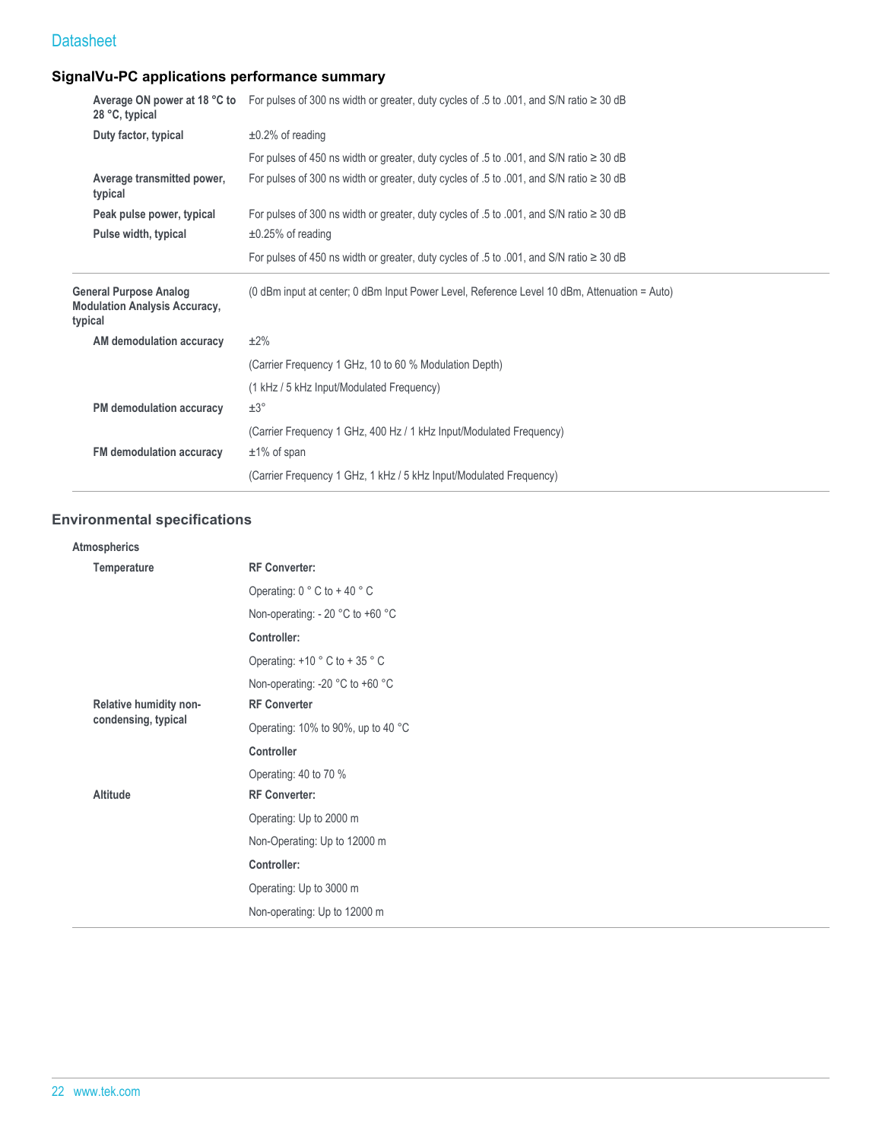## **SignalVu-PC applications performance summary**

| 28 °C, typical                                                                   | Average ON power at 18 °C to For pulses of 300 ns width or greater, duty cycles of .5 to .001, and S/N ratio ≥ 30 dB |
|----------------------------------------------------------------------------------|----------------------------------------------------------------------------------------------------------------------|
| Duty factor, typical                                                             | $\pm 0.2\%$ of reading                                                                                               |
|                                                                                  | For pulses of 450 ns width or greater, duty cycles of .5 to .001, and S/N ratio $\geq$ 30 dB                         |
| Average transmitted power,<br>typical                                            | For pulses of 300 ns width or greater, duty cycles of .5 to .001, and S/N ratio $\geq$ 30 dB                         |
| Peak pulse power, typical                                                        | For pulses of 300 ns width or greater, duty cycles of .5 to .001, and S/N ratio $\geq$ 30 dB                         |
| Pulse width, typical                                                             | $\pm 0.25\%$ of reading                                                                                              |
|                                                                                  | For pulses of 450 ns width or greater, duty cycles of .5 to .001, and S/N ratio $\geq$ 30 dB                         |
|                                                                                  |                                                                                                                      |
| <b>General Purpose Analog</b><br><b>Modulation Analysis Accuracy,</b><br>typical | (0 dBm input at center; 0 dBm Input Power Level, Reference Level 10 dBm, Attenuation = Auto)                         |
| AM demodulation accuracy                                                         | $±2\%$                                                                                                               |
|                                                                                  | (Carrier Frequency 1 GHz, 10 to 60 % Modulation Depth)                                                               |
|                                                                                  | (1 kHz / 5 kHz Input/Modulated Frequency)                                                                            |
| PM demodulation accuracy                                                         | $\pm 3^{\circ}$                                                                                                      |
|                                                                                  | (Carrier Frequency 1 GHz, 400 Hz / 1 kHz Input/Modulated Frequency)                                                  |
| FM demodulation accuracy                                                         | $±1\%$ of span                                                                                                       |
|                                                                                  | (Carrier Frequency 1 GHz, 1 kHz / 5 kHz Input/Modulated Frequency)                                                   |

## **Environmental specifications**

| Atmospherics           |                                    |
|------------------------|------------------------------------|
| Temperature            | <b>RF Converter:</b>               |
|                        | Operating: $0 °C$ to +40 °C        |
|                        | Non-operating: - 20 °C to +60 °C   |
|                        | Controller:                        |
|                        | Operating: $+10$ ° C to $+35$ ° C  |
|                        | Non-operating: -20 °C to +60 °C    |
| Relative humidity non- | <b>RF Converter</b>                |
| condensing, typical    | Operating: 10% to 90%, up to 40 °C |
|                        | <b>Controller</b>                  |
|                        | Operating: 40 to 70 %              |
| Altitude               | <b>RF Converter:</b>               |
|                        | Operating: Up to 2000 m            |
|                        | Non-Operating: Up to 12000 m       |
|                        | Controller:                        |
|                        | Operating: Up to 3000 m            |
|                        | Non-operating: Up to 12000 m       |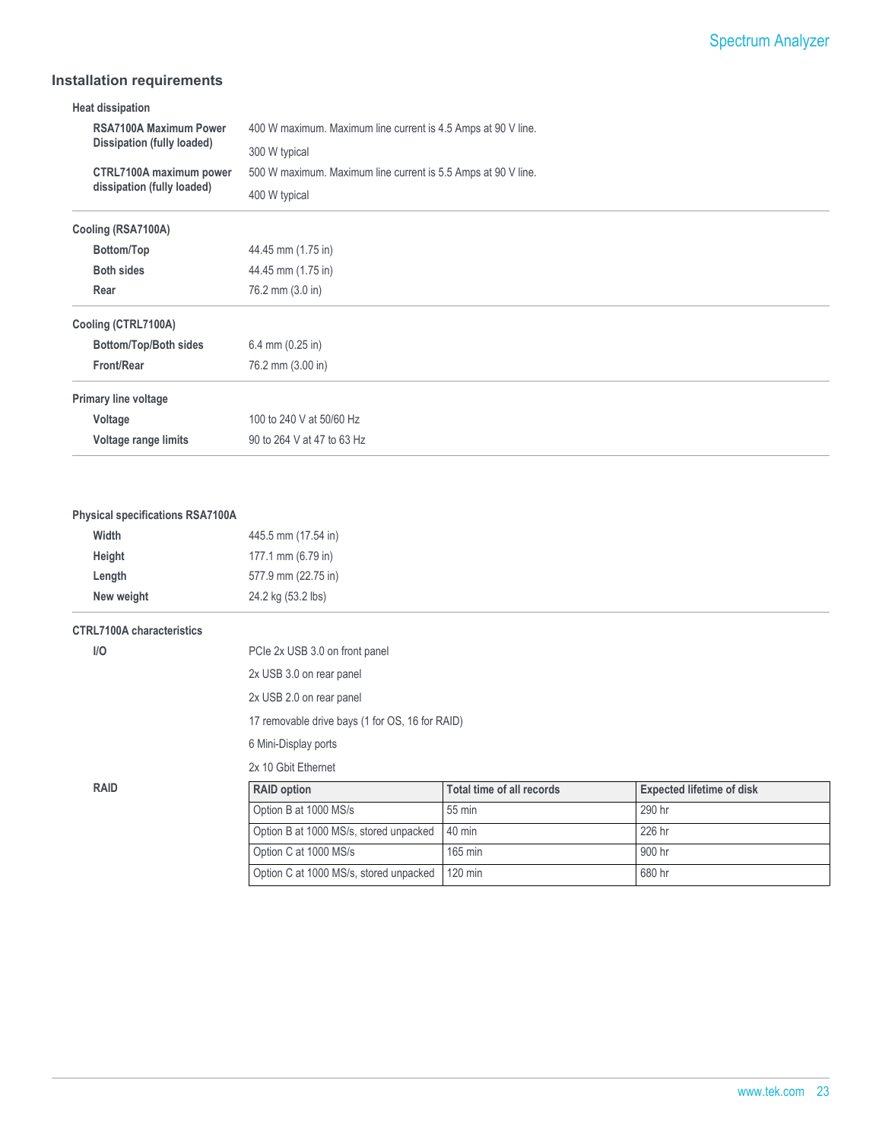## **Installation requirements**

| RSA7100A Maximum Power<br>400 W maximum. Maximum line current is 4.5 Amps at 90 V line.<br>Dissipation (fully loaded)<br>300 W typical<br>CTRL7100A maximum power<br>500 W maximum. Maximum line current is 5.5 Amps at 90 V line.<br>dissipation (fully loaded) |
|------------------------------------------------------------------------------------------------------------------------------------------------------------------------------------------------------------------------------------------------------------------|
|                                                                                                                                                                                                                                                                  |
|                                                                                                                                                                                                                                                                  |
|                                                                                                                                                                                                                                                                  |
| 400 W typical                                                                                                                                                                                                                                                    |
| Cooling (RSA7100A)                                                                                                                                                                                                                                               |
| Bottom/Top<br>44.45 mm (1.75 in)                                                                                                                                                                                                                                 |
| <b>Both sides</b><br>44.45 mm (1.75 in)                                                                                                                                                                                                                          |
| Rear<br>76.2 mm (3.0 in)                                                                                                                                                                                                                                         |
| Cooling (CTRL7100A)                                                                                                                                                                                                                                              |
| Bottom/Top/Both sides<br>6.4 mm $(0.25$ in)                                                                                                                                                                                                                      |
| <b>Front/Rear</b><br>76.2 mm (3.00 in)                                                                                                                                                                                                                           |
| Primary line voltage                                                                                                                                                                                                                                             |
| 100 to 240 V at 50/60 Hz<br>Voltage                                                                                                                                                                                                                              |
| Voltage range limits<br>90 to 264 V at 47 to 63 Hz                                                                                                                                                                                                               |
|                                                                                                                                                                                                                                                                  |

#### **Physical specifications RSA7100A**

| Width      | 445.5 mm (17.54 in) |
|------------|---------------------|
| Height     | 177.1 mm (6.79 in)  |
| Length     | 577.9 mm (22.75 in) |
| New weight | 24.2 kg (53.2 lbs)  |

#### **CTRL7100A characteristics**

| I/O | PCIe 2x USB 3.0 on front panel |
|-----|--------------------------------|
|     |                                |

2x USB 3.0 on rear panel

2x USB 2.0 on rear panel

17 removable drive bays (1 for OS, 16 for RAID)

6 Mini-Display ports

2x 10 Gbit Ethernet

| RAID | <b>RAID option</b>                               | Total time of all records | <b>Expected lifetime of disk</b> |
|------|--------------------------------------------------|---------------------------|----------------------------------|
|      | Option B at 1000 MS/s                            | 55 min                    | 290 hr                           |
|      | Option B at 1000 MS/s, stored unpacked   40 min  |                           | 226 hr                           |
|      | Option C at 1000 MS/s                            | 165 min                   | 900 hr                           |
|      | Option C at 1000 MS/s, stored unpacked   120 min |                           | 680 hr                           |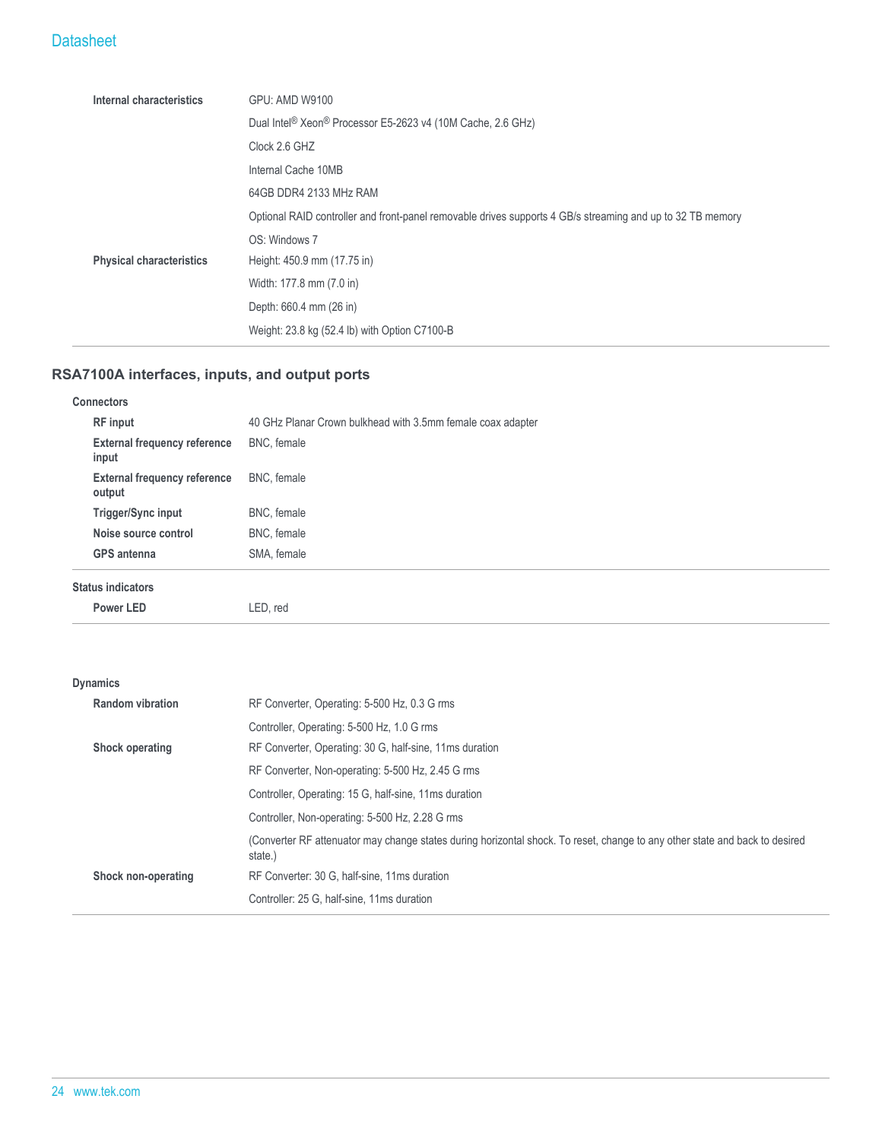| Internal characteristics        | <b>GPU: AMD W9100</b>                                                                                      |  |
|---------------------------------|------------------------------------------------------------------------------------------------------------|--|
|                                 | Dual Intel <sup>®</sup> Xeon <sup>®</sup> Processor E5-2623 v4 (10M Cache, 2.6 GHz)                        |  |
|                                 | Clock 2.6 GHZ                                                                                              |  |
|                                 | Internal Cache 10MB                                                                                        |  |
|                                 | 64GB DDR4 2133 MHz RAM                                                                                     |  |
|                                 | Optional RAID controller and front-panel removable drives supports 4 GB/s streaming and up to 32 TB memory |  |
|                                 | OS: Windows 7                                                                                              |  |
| <b>Physical characteristics</b> | Height: 450.9 mm (17.75 in)                                                                                |  |
|                                 | Width: 177.8 mm (7.0 in)                                                                                   |  |
|                                 | Depth: 660.4 mm (26 in)                                                                                    |  |
|                                 | Weight: 23.8 kg (52.4 lb) with Option C7100-B                                                              |  |

## **RSA7100A interfaces, inputs, and output ports**

| <b>Connectors</b>                             |                                                             |
|-----------------------------------------------|-------------------------------------------------------------|
| <b>RF</b> input                               | 40 GHz Planar Crown bulkhead with 3.5mm female coax adapter |
| <b>External frequency reference</b><br>input  | BNC, female                                                 |
| <b>External frequency reference</b><br>output | BNC, female                                                 |
| Trigger/Sync input                            | BNC, female                                                 |
| Noise source control                          | BNC, female                                                 |
| <b>GPS</b> antenna                            | SMA, female                                                 |
| <b>Status indicators</b>                      |                                                             |
| Power LED                                     | LED, red                                                    |

## **Dynamics**

|                 | <b>Random vibration</b> | RF Converter, Operating: 5-500 Hz, 0.3 G rms                                                                                           |
|-----------------|-------------------------|----------------------------------------------------------------------------------------------------------------------------------------|
| Shock operating |                         | Controller, Operating: 5-500 Hz, 1.0 G rms                                                                                             |
|                 |                         | RF Converter, Operating: 30 G, half-sine, 11ms duration                                                                                |
|                 |                         | RF Converter, Non-operating: 5-500 Hz, 2.45 G rms                                                                                      |
|                 |                         | Controller, Operating: 15 G, half-sine, 11 ms duration                                                                                 |
|                 |                         | Controller, Non-operating: 5-500 Hz, 2.28 G rms                                                                                        |
|                 |                         | (Converter RF attenuator may change states during horizontal shock. To reset, change to any other state and back to desired<br>state.) |
|                 | Shock non-operating     | RF Converter: 30 G, half-sine, 11ms duration                                                                                           |
|                 |                         | Controller: 25 G, half-sine, 11ms duration                                                                                             |
|                 |                         |                                                                                                                                        |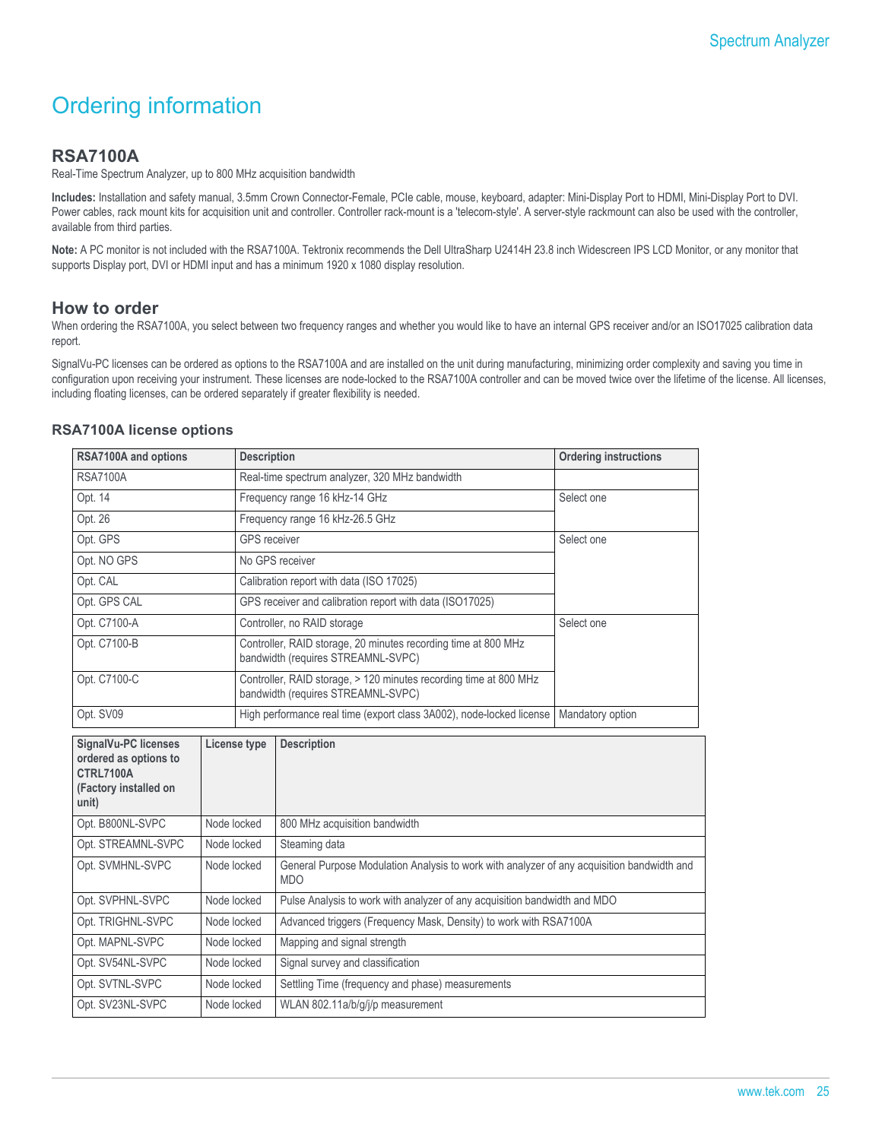## Ordering information

### **RSA7100A**

Real-Time Spectrum Analyzer, up to 800 MHz acquisition bandwidth

**Includes:** Installation and safety manual, 3.5mm Crown Connector-Female, PCIe cable, mouse, keyboard, adapter: Mini-Display Port to HDMI, Mini-Display Port to DVI. Power cables, rack mount kits for acquisition unit and controller. Controller rack-mount is a 'telecom-style'. A server-style rackmount can also be used with the controller, available from third parties.

**Note:** A PC monitor is not included with the RSA7100A. Tektronix recommends the Dell UltraSharp U2414H 23.8 inch Widescreen IPS LCD Monitor, or any monitor that supports Display port, DVI or HDMI input and has a minimum 1920 x 1080 display resolution.

#### **How to order**

When ordering the RSA7100A, you select between two frequency ranges and whether you would like to have an internal GPS receiver and/or an ISO17025 calibration data report.

SignalVu-PC licenses can be ordered as options to the RSA7100A and are installed on the unit during manufacturing, minimizing order complexity and saving you time in configuration upon receiving your instrument. These licenses are node-locked to the RSA7100A controller and can be moved twice over the lifetime of the license. All licenses, including floating licenses, can be ordered separately if greater flexibility is needed.

#### **RSA7100A license options**

| RSA7100A and options                                                                                |             | <b>Description</b>                       |                                                                                                          | <b>Ordering instructions</b> |  |
|-----------------------------------------------------------------------------------------------------|-------------|------------------------------------------|----------------------------------------------------------------------------------------------------------|------------------------------|--|
| <b>RSA7100A</b>                                                                                     |             |                                          | Real-time spectrum analyzer, 320 MHz bandwidth                                                           |                              |  |
| Opt. 14                                                                                             |             |                                          | Frequency range 16 kHz-14 GHz                                                                            | Select one                   |  |
| Opt. 26                                                                                             |             |                                          | Frequency range 16 kHz-26.5 GHz                                                                          |                              |  |
| Opt. GPS                                                                                            |             | <b>GPS</b> receiver                      |                                                                                                          | Select one                   |  |
| Opt. NO GPS                                                                                         |             |                                          | No GPS receiver                                                                                          |                              |  |
| Opt. CAL                                                                                            |             | Calibration report with data (ISO 17025) |                                                                                                          |                              |  |
| Opt. GPS CAL                                                                                        |             |                                          | GPS receiver and calibration report with data (ISO17025)                                                 |                              |  |
| Opt. C7100-A                                                                                        |             |                                          | Controller, no RAID storage                                                                              | Select one                   |  |
| Opt. C7100-B                                                                                        |             |                                          | Controller, RAID storage, 20 minutes recording time at 800 MHz<br>bandwidth (requires STREAMNL-SVPC)     |                              |  |
| Opt. C7100-C                                                                                        |             |                                          | Controller, RAID storage, > 120 minutes recording time at 800 MHz<br>bandwidth (requires STREAMNL-SVPC)  |                              |  |
| Opt. SV09                                                                                           |             |                                          | High performance real time (export class 3A002), node-locked license                                     | Mandatory option             |  |
| SignalVu-PC licenses<br>ordered as options to<br><b>CTRL7100A</b><br>(Factory installed on<br>unit) |             | License type                             | <b>Description</b>                                                                                       |                              |  |
| Opt. B800NL-SVPC                                                                                    | Node locked |                                          | 800 MHz acquisition bandwidth                                                                            |                              |  |
| Opt. STREAMNL-SVPC                                                                                  | Node locked |                                          | Steaming data                                                                                            |                              |  |
| Opt. SVMHNL-SVPC                                                                                    | Node locked |                                          | General Purpose Modulation Analysis to work with analyzer of any acquisition bandwidth and<br><b>MDO</b> |                              |  |
| Opt. SVPHNL-SVPC<br>Node locked                                                                     |             |                                          | Pulse Analysis to work with analyzer of any acquisition bandwidth and MDO                                |                              |  |
| Opt. TRIGHNL-SVPC<br>Node locked                                                                    |             |                                          | Advanced triggers (Frequency Mask, Density) to work with RSA7100A                                        |                              |  |
| Opt. MAPNL-SVPC<br>Node locked                                                                      |             |                                          | Mapping and signal strength                                                                              |                              |  |
| Opt. SV54NL-SVPC<br>Node locked                                                                     |             |                                          | Signal survey and classification                                                                         |                              |  |
| Opt. SVTNL-SVPC<br>Node locked                                                                      |             |                                          | Settling Time (frequency and phase) measurements                                                         |                              |  |
| Opt. SV23NL-SVPC<br>Node locked                                                                     |             |                                          | WLAN 802.11a/b/g/j/p measurement                                                                         |                              |  |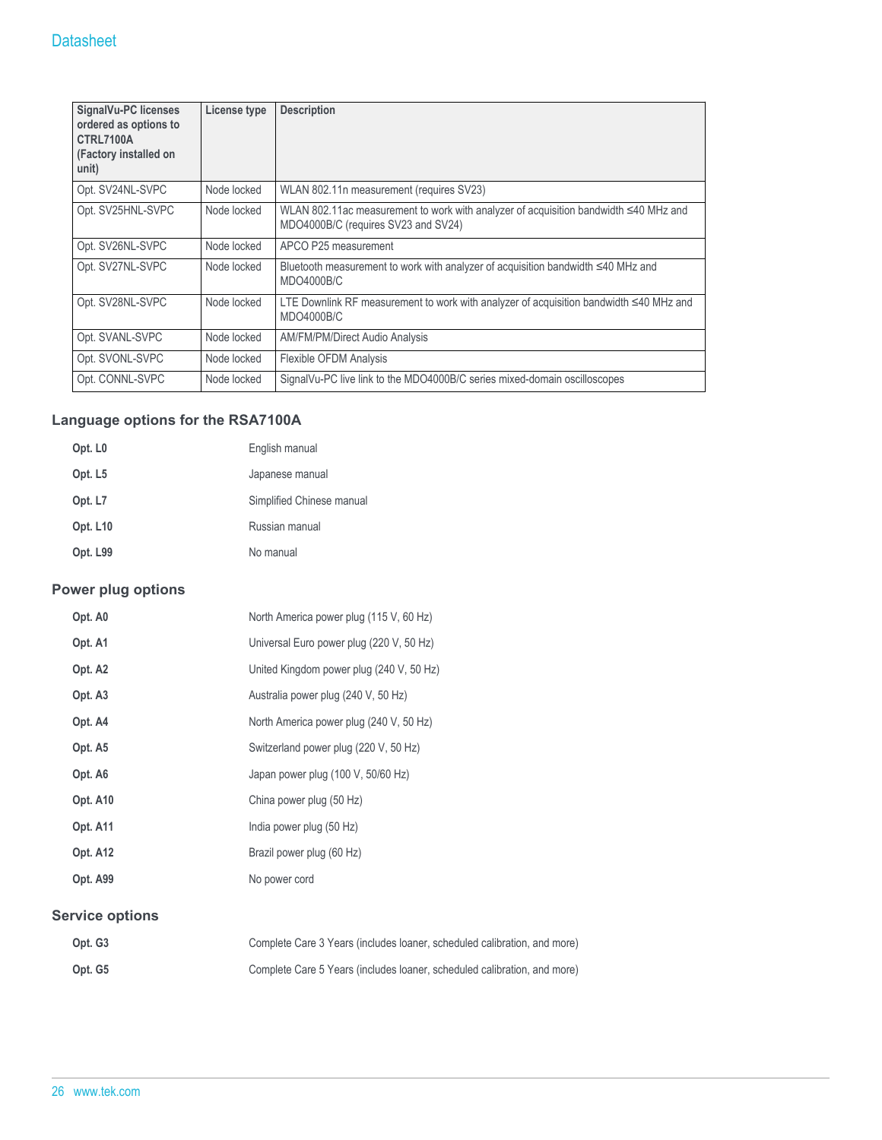| <b>SignalVu-PC licenses</b><br>ordered as options to<br>CTRL7100A<br>(Factory installed on<br>unit) | License type | <b>Description</b>                                                                                                          |
|-----------------------------------------------------------------------------------------------------|--------------|-----------------------------------------------------------------------------------------------------------------------------|
| Opt. SV24NL-SVPC                                                                                    | Node locked  | WLAN 802.11n measurement (requires SV23)                                                                                    |
| Opt. SV25HNL-SVPC                                                                                   | Node locked  | WLAN 802.11ac measurement to work with analyzer of acquisition bandwidth ≤40 MHz and<br>MDO4000B/C (requires SV23 and SV24) |
| Opt. SV26NL-SVPC                                                                                    | Node locked  | APCO P25 measurement                                                                                                        |
| Opt. SV27NL-SVPC                                                                                    | Node locked  | Bluetooth measurement to work with analyzer of acquisition bandwidth $\leq 40$ MHz and<br>MDO4000B/C                        |
| Opt. SV28NL-SVPC                                                                                    | Node locked  | LTE Downlink RF measurement to work with analyzer of acquisition bandwidth ≤40 MHz and<br>MDO4000B/C                        |
| Opt. SVANL-SVPC                                                                                     | Node locked  | AM/FM/PM/Direct Audio Analysis                                                                                              |
| Opt. SVONL-SVPC                                                                                     | Node locked  | <b>Flexible OFDM Analysis</b>                                                                                               |
| Opt. CONNL-SVPC                                                                                     | Node locked  | SignalVu-PC live link to the MDO4000B/C series mixed-domain oscilloscopes                                                   |

## **Language options for the RSA7100A**

| Opt. L <sub>0</sub> | English manual            |
|---------------------|---------------------------|
| Opt. L <sub>5</sub> | Japanese manual           |
| Opt. L7             | Simplified Chinese manual |
| Opt. L10            | Russian manual            |
| Opt. L99            | No manual                 |

## **Power plug options**

| Opt. A0                | North America power plug (115 V, 60 Hz)                              |
|------------------------|----------------------------------------------------------------------|
| Opt. A1                | Universal Euro power plug (220 V, 50 Hz)                             |
| Opt. A <sub>2</sub>    | United Kingdom power plug (240 V, 50 Hz)                             |
| Opt. A3                | Australia power plug (240 V, 50 Hz)                                  |
| Opt. A4                | North America power plug (240 V, 50 Hz)                              |
| Opt. A5                | Switzerland power plug (220 V, 50 Hz)                                |
| Opt. A6                | Japan power plug (100 V, 50/60 Hz)                                   |
| Opt. A10               | China power plug (50 Hz)                                             |
| Opt. A11               | India power plug (50 Hz)                                             |
| Opt. A12               | Brazil power plug (60 Hz)                                            |
| Opt. A99               | No power cord                                                        |
| <b>Service options</b> |                                                                      |
| Out <sub>63</sub>      | Complete Care 3 Years (includes loaner, scheduled calibration, and m |

| Opt. G3 | Complete Care 3 Years (includes loaner, scheduled calibration, and more) |
|---------|--------------------------------------------------------------------------|
| Opt. G5 | Complete Care 5 Years (includes loaner, scheduled calibration, and more) |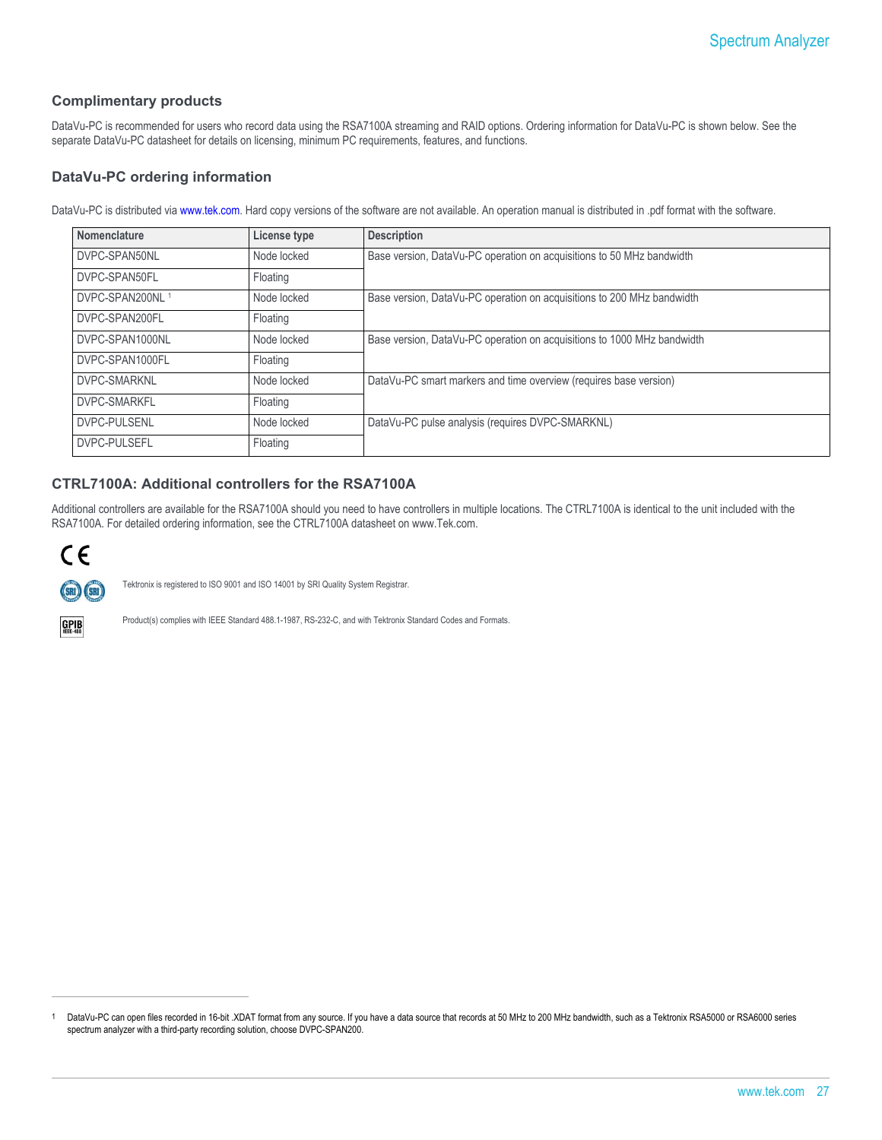#### **Complimentary products**

DataVu-PC is recommended for users who record data using the RSA7100A streaming and RAID options. Ordering information for DataVu-PC is shown below. See the separate DataVu-PC datasheet for details on licensing, minimum PC requirements, features, and functions.

#### **DataVu-PC ordering information**

DataVu-PC is distributed via [www.tek.com.](HTTP://WWW.TEK.COM) Hard copy versions of the software are not available. An operation manual is distributed in .pdf format with the software.

| Nomenclature                | License type | <b>Description</b>                                                      |
|-----------------------------|--------------|-------------------------------------------------------------------------|
| DVPC-SPAN50NL               | Node locked  | Base version, DataVu-PC operation on acquisitions to 50 MHz bandwidth   |
| DVPC-SPAN50FL               | Floating     |                                                                         |
| DVPC-SPAN200NL <sup>1</sup> | Node locked  | Base version, DataVu-PC operation on acquisitions to 200 MHz bandwidth  |
| DVPC-SPAN200FL              | Floating     |                                                                         |
| DVPC-SPAN1000NL             | Node locked  | Base version, DataVu-PC operation on acquisitions to 1000 MHz bandwidth |
| DVPC-SPAN1000FL             | Floating     |                                                                         |
| DVPC-SMARKNL                | Node locked  | DataVu-PC smart markers and time overview (requires base version)       |
| DVPC-SMARKFL                | Floating     |                                                                         |
| <b>DVPC-PULSENL</b>         | Node locked  | DataVu-PC pulse analysis (requires DVPC-SMARKNL)                        |
| <b>DVPC-PULSEFL</b>         | Floating     |                                                                         |

#### **CTRL7100A: Additional controllers for the RSA7100A**

Additional controllers are available for the RSA7100A should you need to have controllers in multiple locations. The CTRL7100A is identical to the unit included with the RSA7100A. For detailed ordering information, see the CTRL7100A datasheet on www.Tek.com.



Tektronix is registered to ISO 9001 and ISO 14001 by SRI Quality System Registrar.



Product(s) complies with IEEE Standard 488.1-1987, RS-232-C, and with Tektronix Standard Codes and Formats.

<sup>1</sup> DataVu-PC can open files recorded in 16-bit .XDAT format from any source. If you have a data source that records at 50 MHz to 200 MHz bandwidth, such as a Tektronix RSA5000 or RSA6000 series spectrum analyzer with a third-party recording solution, choose DVPC-SPAN200.